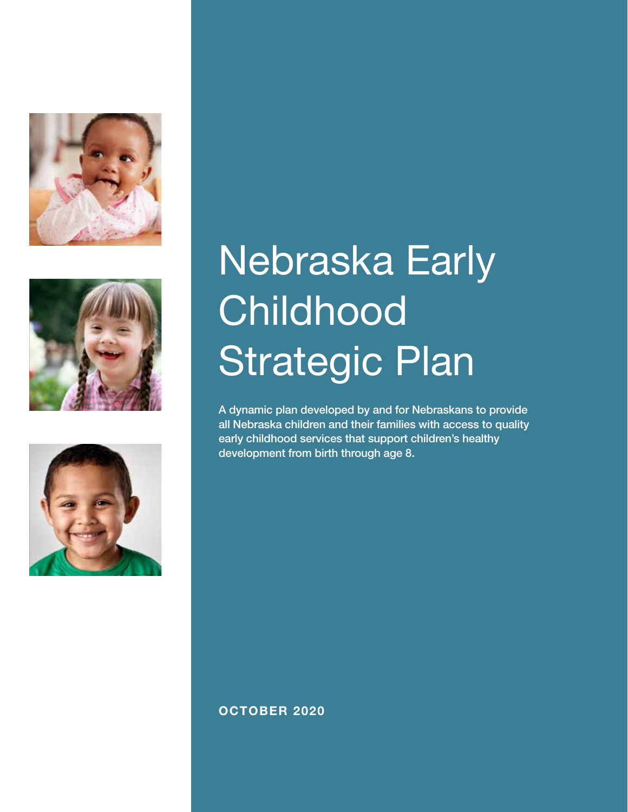





# Nebraska Early **Childhood** Strategic Plan

A dynamic plan developed by and for Nebraskans to provide all Nebraska children and their families with access to quality early childhood services that support children's healthy development from birth through age 8.

OCTOBER 2020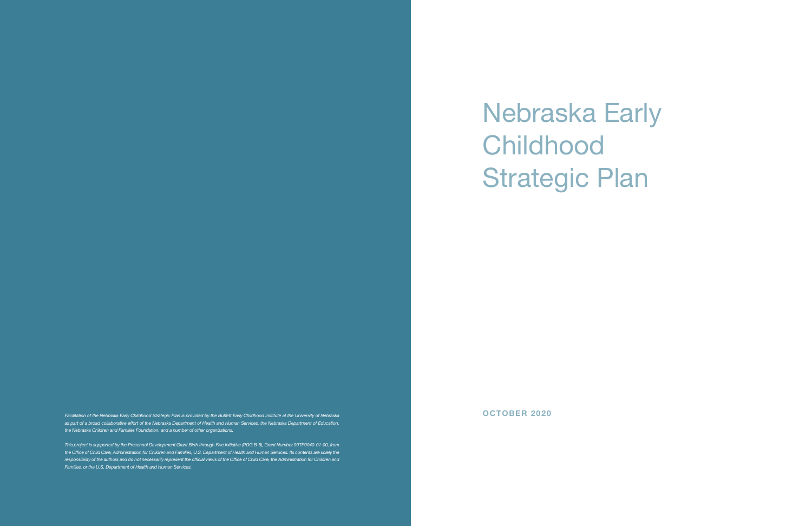Nebraska Early **Childhood** Strategic Plan

Facilitation of the Nebraska Early Childhood Strategic Plan is provided by the Buffett Early Childhood Institute at the University of Nebraska **by the Strategic Plan is provided by the Buffett Early Childhood Institute at** *as part of a broad collaborative effort of the Nebraska Department of Health and Human Services, the Nebraska Department of Education, the Nebraska Children and Families Foundation, and a number of other organizations.* 

*This project is supported by the Preschool Development Grant Birth through Five Initiative (PDG B-5), Grant Number 90TP0040-01-00, from the Office of Child Care, Administration for Children and Families, U.S. Department of Health and Human Services. Its contents are solely the responsibility of the authors and do not necessarily represent the official views of the Office of Child Care, the Administration for Children and Families, or the U.S. Department of Health and Human Services.*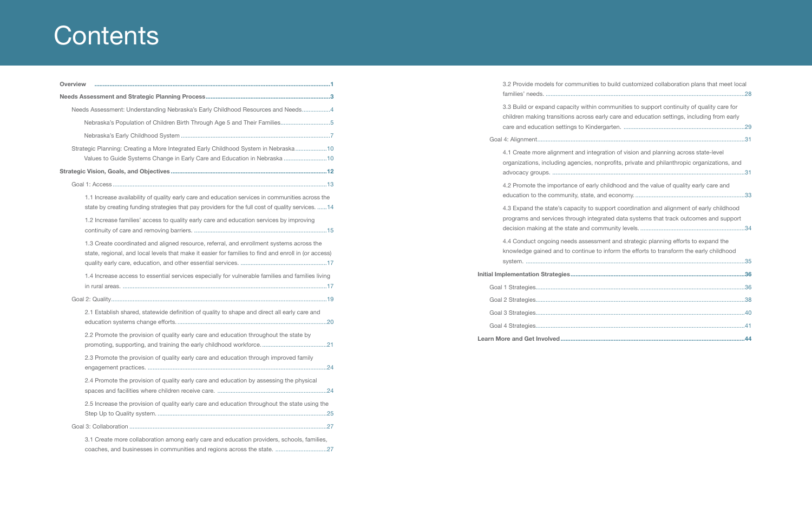# **Contents**

| <b>Overview</b> |                                                                                                                                                                                                        |
|-----------------|--------------------------------------------------------------------------------------------------------------------------------------------------------------------------------------------------------|
|                 |                                                                                                                                                                                                        |
|                 | Needs Assessment: Understanding Nebraska's Early Childhood Resources and Needs4                                                                                                                        |
|                 | Nebraska's Population of Children Birth Through Age 5 and Their Families5                                                                                                                              |
|                 |                                                                                                                                                                                                        |
|                 | Strategic Planning: Creating a More Integrated Early Childhood System in Nebraska10<br>Values to Guide Systems Change in Early Care and Education in Nebraska 10                                       |
|                 |                                                                                                                                                                                                        |
|                 |                                                                                                                                                                                                        |
|                 | 1.1 Increase availability of quality early care and education services in communities across the<br>state by creating funding strategies that pay providers for the full cost of quality services.  14 |
|                 | 1.2 Increase families' access to quality early care and education services by improving                                                                                                                |
|                 | 1.3 Create coordinated and aligned resource, referral, and enrollment systems across the<br>state, regional, and local levels that make it easier for families to find and enroll in (or access)       |
|                 | 1.4 Increase access to essential services especially for vulnerable families and families living                                                                                                       |
|                 |                                                                                                                                                                                                        |
|                 | 2.1 Establish shared, statewide definition of quality to shape and direct all early care and                                                                                                           |
|                 | 2.2 Promote the provision of quality early care and education throughout the state by                                                                                                                  |
|                 | 2.3 Promote the provision of quality early care and education through improved family                                                                                                                  |
|                 | 2.4 Promote the provision of quality early care and education by assessing the physical                                                                                                                |
|                 | 2.5 Increase the provision of quality early care and education throughout the state using the                                                                                                          |
|                 |                                                                                                                                                                                                        |
|                 | 3.1 Create more collaboration among early care and education providers, schools, families,<br>coaches, and businesses in communities and regions across the state. 27                                  |

families' needs. ........................................................................................................................28 3.3 Build or expand capacity within children making transitions across e care and education settings to Kinde Goal 4: Alignment.............................................................................................................................31 4.1 Create more alignment and integ organizations, including agencies, no advocacy groups. .............................. 4.2 Promote the importance of early education to the community, state, 4.3 Expand the state's capacity to su programs and services through integration decision making at the state and com 4.4 Conduct ongoing needs assessr knowledge gained and to continue system. ....................................................................................................................................35 Initial Implementation Strategies................. Goal 1 Strategies..............................................................................................................................36 Goal 2 Strategies..............................................................................................................................38 Goal 3 Strategies..............................................................................................................................40 Goal 4 Strategies..............................................................................................................................41 Learn More and Get Involved......................

| 3.2 Provide models for communities to build customized collaboration plans that meet local                                                                                              |  |
|-----------------------------------------------------------------------------------------------------------------------------------------------------------------------------------------|--|
| 3.3 Build or expand capacity within communities to support continuity of quality care for<br>children making transitions across early care and education settings, including from early |  |
|                                                                                                                                                                                         |  |
| 4.1 Create more alignment and integration of vision and planning across state-level<br>organizations, including agencies, nonprofits, private and philanthropic organizations, and      |  |
| 4.2 Promote the importance of early childhood and the value of quality early care and                                                                                                   |  |
| 4.3 Expand the state's capacity to support coordination and alignment of early childhood<br>programs and services through integrated data systems that track outcomes and support       |  |
| 4.4 Conduct ongoing needs assessment and strategic planning efforts to expand the<br>knowledge gained and to continue to inform the efforts to transform the early childhood            |  |
|                                                                                                                                                                                         |  |
|                                                                                                                                                                                         |  |
|                                                                                                                                                                                         |  |
|                                                                                                                                                                                         |  |
|                                                                                                                                                                                         |  |
|                                                                                                                                                                                         |  |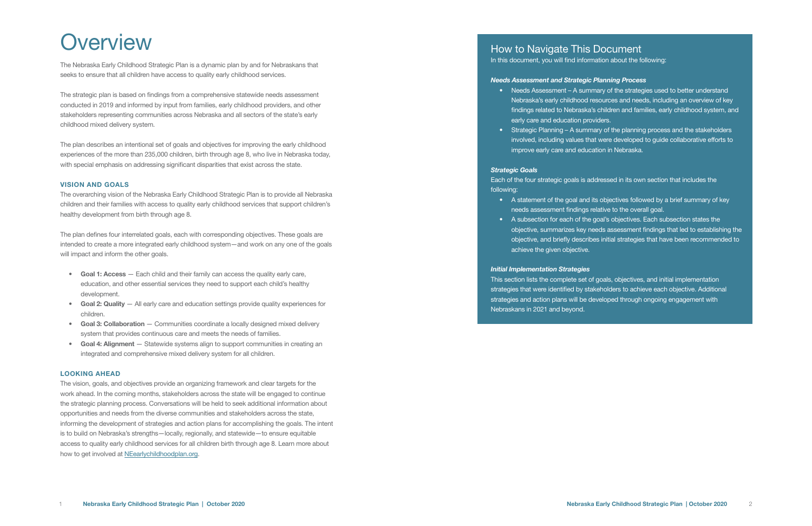## **Overview**

The Nebraska Early Childhood Strategic Plan is a dynamic plan by and for Nebraskans that seeks to ensure that all children have access to quality early childhood services.

The strategic plan is based on findings from a comprehensive statewide needs assessment conducted in 2019 and informed by input from families, early childhood providers, and other stakeholders representing communities across Nebraska and all sectors of the state's early childhood mixed delivery system.

The plan defines four interrelated goals, each with corresponding objectives. These goals are intended to create a more integrated early childhood system—and work on any one of the goals will impact and inform the other goals.

The plan describes an intentional set of goals and objectives for improving the early childhood experiences of the more than 235,000 children, birth through age 8, who live in Nebraska today, with special emphasis on addressing significant disparities that exist across the state.

#### VISION AND GOALS

- Goal 1: Access Each child and their family can access the quality early care, education, and other essential services they need to support each child's healthy development.
- Goal 2: Quality All early care and education settings provide quality experiences for children.
- Goal 3: Collaboration Communities coordinate a locally designed mixed delivery system that provides continuous care and meets the needs of families.
- Goal 4: Alignment Statewide systems align to support communities in creating an integrated and comprehensive mixed delivery system for all children.

The vision, goals, and objectives provide an organizing framework and clear targets for the work ahead. In the coming months, stakeholders across the state will be engaged to continue the strategic planning process. Conversations will be held to seek additional information about opportunities and needs from the diverse communities and stakeholders across the state, informing the development of strategies and action plans for accomplishing the goals. The intent is to build on Nebraska's strengths—locally, regionally, and statewide—to ensure equitable access to quality early childhood services for all children birth through age 8. Learn more about how to get involved at NEearlychildhoodplan.org.

The overarching vision of the Nebraska Early Childhood Strategic Plan is to provide all Nebraska children and their families with access to quality early childhood services that support children's healthy development from birth through age 8.

#### LOOKING AHEAD

## How to Navigate This Document

In this document, you will find information about the following:

#### *Needs Assessment and Strategic Planning Process*

• Needs Assessment – A summary of the strategies used to better understand Nebraska's early childhood resources and needs, including an overview of key findings related to Nebraska's children and families, early childhood system, and

• Strategic Planning – A summary of the planning process and the stakeholders involved, including values that were developed to guide collaborative efforts to

- early care and education providers.
- improve early care and education in Nebraska.

#### *Strategic Goals*

Each of the four strategic goals is addressed in its own section that includes the following:

- A statement of the goal and its objectives followed by a brief summary of key needs assessment findings relative to the overall goal.
- A subsection for each of the goal's objectives. Each subsection states the objective, summarizes key needs assessment findings that led to establishing the objective, and briefly describes initial strategies that have been recommended to achieve the given objective.

*Initial Implementation Strategies* This section lists the complete set of goals, objectives, and initial implementation strategies that were identified by stakeholders to achieve each objective. Additional strategies and action plans will be developed through ongoing engagement with Nebraskans in 2021 and beyond.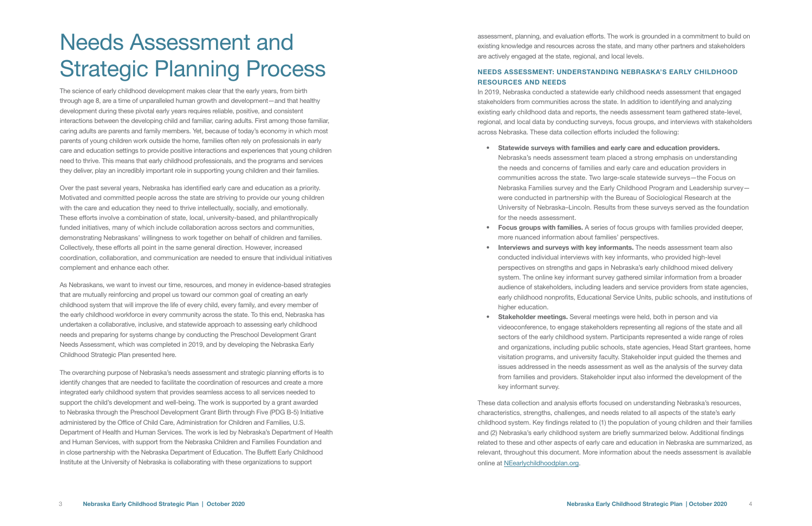The science of early childhood development makes clear that the early years, from birth through age 8, are a time of unparalleled human growth and development—and that healthy development during these pivotal early years requires reliable, positive, and consistent interactions between the developing child and familiar, caring adults. First among those familiar, caring adults are parents and family members. Yet, because of today's economy in which most parents of young children work outside the home, families often rely on professionals in early care and education settings to provide positive interactions and experiences that young children need to thrive. This means that early childhood professionals, and the programs and services they deliver, play an incredibly important role in supporting young children and their families.

Over the past several years, Nebraska has identified early care and education as a priority. Motivated and committed people across the state are striving to provide our young children with the care and education they need to thrive intellectually, socially, and emotionally. These efforts involve a combination of state, local, university-based, and philanthropically funded initiatives, many of which include collaboration across sectors and communities, demonstrating Nebraskans' willingness to work together on behalf of children and families. Collectively, these efforts all point in the same general direction. However, increased coordination, collaboration, and communication are needed to ensure that individual initiatives complement and enhance each other.

As Nebraskans, we want to invest our time, resources, and money in evidence-based strategies that are mutually reinforcing and propel us toward our common goal of creating an early childhood system that will improve the life of every child, every family, and every member of the early childhood workforce in every community across the state. To this end, Nebraska has undertaken a collaborative, inclusive, and statewide approach to assessing early childhood needs and preparing for systems change by conducting the Preschool Development Grant Needs Assessment, which was completed in 2019, and by developing the Nebraska Early Childhood Strategic Plan presented here.

• Interviews and surveys with key informants. The needs assessment team also conducted individual interviews with key informants, who provided high-level perspectives on strengths and gaps in Nebraska's early childhood mixed delivery system. The online key informant survey gathered similar information from a broader audience of stakeholders, including leaders and service providers from state agencies, early childhood nonprofits, Educational Service Units, public schools, and institutions of

The overarching purpose of Nebraska's needs assessment and strategic planning efforts is to identify changes that are needed to facilitate the coordination of resources and create a more integrated early childhood system that provides seamless access to all services needed to support the child's development and well-being. The work is supported by a grant awarded to Nebraska through the Preschool Development Grant Birth through Five (PDG B-5) Initiative administered by the Office of Child Care, Administration for Children and Families, U.S. Department of Health and Human Services. The work is led by Nebraska's Department of Health and Human Services, with support from the Nebraska Children and Families Foundation and in close partnership with the Nebraska Department of Education. The Buffett Early Childhood Institute at the University of Nebraska is collaborating with these organizations to support

**Stakeholder meetings.** Several meetings were held, both in person and via videoconference, to engage stakeholders representing all regions of the state and all sectors of the early childhood system. Participants represented a wide range of roles and organizations, including public schools, state agencies, Head Start grantees, home visitation programs, and university faculty. Stakeholder input guided the themes and issues addressed in the needs assessment as well as the analysis of the survey data from families and providers. Stakeholder input also informed the development of the

## Needs Assessment and Strategic Planning Process

assessment, planning, and evaluation efforts. The work is grounded in a commitment to build on existing knowledge and resources across the state, and many other partners and stakeholders are actively engaged at the state, regional, and local levels.

#### NEEDS ASSESSMENT: UNDERSTANDING NEBRASKA'S EARLY CHILDHOOD RESOURCES AND NEEDS

In 2019, Nebraska conducted a statewide early childhood needs assessment that engaged stakeholders from communities across the state. In addition to identifying and analyzing existing early childhood data and reports, the needs assessment team gathered state-level, regional, and local data by conducting surveys, focus groups, and interviews with stakeholders across Nebraska. These data collection efforts included the following:

• Statewide surveys with families and early care and education providers.

Nebraska's needs assessment team placed a strong emphasis on understanding the needs and concerns of families and early care and education providers in communities across the state. Two large-scale statewide surveys—the Focus on Nebraska Families survey and the Early Childhood Program and Leadership survey were conducted in partnership with the Bureau of Sociological Research at the University of Nebraska–Lincoln. Results from these surveys served as the foundation

• Focus groups with families. A series of focus groups with families provided deeper,

- for the needs assessment.
- more nuanced information about families' perspectives.
- higher education.
- key informant survey.

These data collection and analysis efforts focused on understanding Nebraska's resources, characteristics, strengths, challenges, and needs related to all aspects of the state's early childhood system. Key findings related to (1) the population of young children and their families and (2) Nebraska's early childhood system are briefly summarized below. Additional findings related to these and other aspects of early care and education in Nebraska are summarized, as relevant, throughout this document. More information about the needs assessment is available online at NEearlychildhoodplan.org.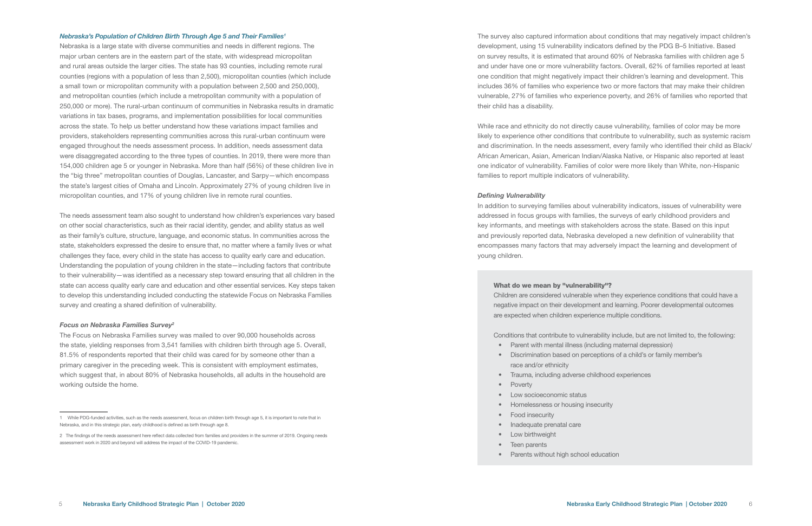#### *Nebraska's Population of Children Birth Through Age 5 and Their Families1*

Nebraska is a large state with diverse communities and needs in different regions. The major urban centers are in the eastern part of the state, with widespread micropolitan and rural areas outside the larger cities. The state has 93 counties, including remote rural counties (regions with a population of less than 2,500), micropolitan counties (which include a small town or micropolitan community with a population between 2,500 and 250,000), and metropolitan counties (which include a metropolitan community with a population of 250,000 or more). The rural-urban continuum of communities in Nebraska results in dramatic variations in tax bases, programs, and implementation possibilities for local communities across the state. To help us better understand how these variations impact families and providers, stakeholders representing communities across this rural-urban continuum were engaged throughout the needs assessment process. In addition, needs assessment data were disaggregated according to the three types of counties. In 2019, there were more than 154,000 children age 5 or younger in Nebraska. More than half (56%) of these children live in the "big three" metropolitan counties of Douglas, Lancaster, and Sarpy—which encompass the state's largest cities of Omaha and Lincoln. Approximately 27% of young children live in micropolitan counties, and 17% of young children live in remote rural counties.

The needs assessment team also sought to understand how children's experiences vary based on other social characteristics, such as their racial identity, gender, and ability status as well as their family's culture, structure, language, and economic status. In communities across the state, stakeholders expressed the desire to ensure that, no matter where a family lives or what challenges they face, every child in the state has access to quality early care and education. Understanding the population of young children in the state—including factors that contribute to their vulnerability—was identified as a necessary step toward ensuring that all children in the state can access quality early care and education and other essential services. Key steps taken to develop this understanding included conducting the statewide Focus on Nebraska Families survey and creating a shared definition of vulnerability.

#### *Focus on Nebraska Families Survey2*

The Focus on Nebraska Families survey was mailed to over 90,000 households across the state, yielding responses from 3,541 families with children birth through age 5. Overall, 81.5% of respondents reported that their child was cared for by someone other than a primary caregiver in the preceding week. This is consistent with employment estimates, which suggest that, in about 80% of Nebraska households, all adults in the household are working outside the home.

- Parent with mental illness (including maternal depression)
- Discrimination based on perceptions of a child's or family member's race and/or ethnicity
- Trauma, including adverse childhood experiences
- Poverty
- Low socioeconomic status
- Homelessness or housing insecurity
- Food insecurity
- Inadequate prenatal care
- Low birthweight
- Teen parents
- Parents without high school education

The survey also captured information about conditions that may negatively impact children's development, using 15 vulnerability indicators defined by the PDG B–5 Initiative. Based on survey results, it is estimated that around 60% of Nebraska families with children age 5 and under have one or more vulnerability factors. Overall, 62% of families reported at least one condition that might negatively impact their children's learning and development. This includes 36% of families who experience two or more factors that may make their children vulnerable, 27% of families who experience poverty, and 26% of families who reported that their child has a disability.

While race and ethnicity do not directly cause vulnerability, families of color may be more likely to experience other conditions that contribute to vulnerability, such as systemic racism and discrimination. In the needs assessment, every family who identified their child as Black/ African American, Asian, American Indian/Alaska Native, or Hispanic also reported at least one indicator of vulnerability. Families of color were more likely than White, non-Hispanic families to report multiple indicators of vulnerability.

#### *Defining Vulnerability*

In addition to surveying families about vulnerability indicators, issues of vulnerability were addressed in focus groups with families, the surveys of early childhood providers and key informants, and meetings with stakeholders across the state. Based on this input and previously reported data, Nebraska developed a new definition of vulnerability that encompasses many factors that may adversely impact the learning and development of young children.

#### What do we mean by "vulnerability"?

Children are considered vulnerable when they experience conditions that could have a negative impact on their development and learning. Poorer developmental outcomes are expected when children experience multiple conditions.

Conditions that contribute to vulnerability include, but are not limited to, the following:

assessment work in 2020 and beyond will address the impact of the COVID-19 pandemic. 2 The findings of the needs assessment here reflect data collected from families and providers in the summer of 2019. Ongoing needs

<sup>1</sup> While PDG-funded activities, such as the needs assessment, focus on children birth through age 5, it is important to note that in Nebraska, and in this strategic plan, early childhood is defined as birth through age 8.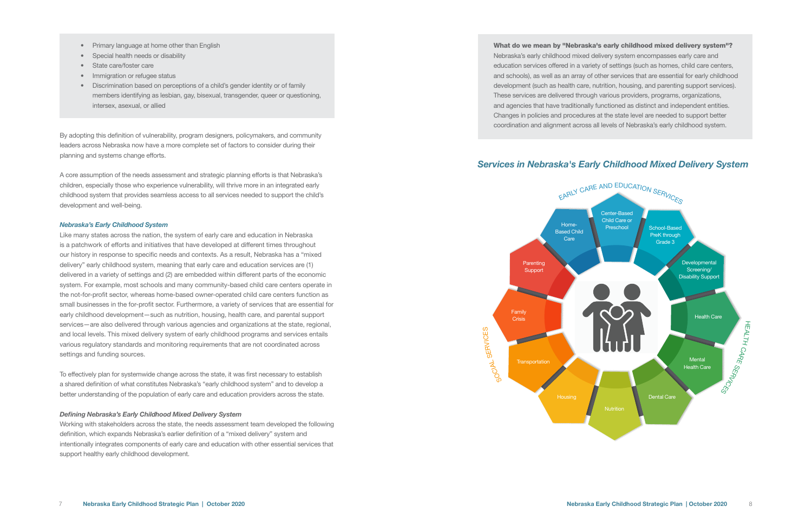- Primary language at home other than English
- Special health needs or disability
- State care/foster care
- Immigration or refugee status
- Discrimination based on perceptions of a child's gender identity or of family members identifying as lesbian, gay, bisexual, transgender, queer or questioning, intersex, asexual, or allied

By adopting this definition of vulnerability, program designers, policymakers, and community leaders across Nebraska now have a more complete set of factors to consider during their planning and systems change efforts.

A core assumption of the needs assessment and strategic planning efforts is that Nebraska's children, especially those who experience vulnerability, will thrive more in an integrated early childhood system that provides seamless access to all services needed to support the child's development and well-being.

#### *Nebraska's Early Childhood System*

Like many states across the nation, the system of early care and education in Nebraska is a patchwork of efforts and initiatives that have developed at different times throughout our history in response to specific needs and contexts. As a result, Nebraska has a "mixed delivery" early childhood system, meaning that early care and education services are (1) delivered in a variety of settings and (2) are embedded within different parts of the economic system. For example, most schools and many community-based child care centers operate in the not-for-profit sector, whereas home-based owner-operated child care centers function as small businesses in the for-profit sector. Furthermore, a variety of services that are essential for early childhood development—such as nutrition, housing, health care, and parental support services—are also delivered through various agencies and organizations at the state, regional, and local levels. This mixed delivery system of early childhood programs and services entails various regulatory standards and monitoring requirements that are not coordinated across settings and funding sources.

#### *Services in Nebraska's Early Childhood Mixed Delivery System* **Home-**Based Child **Care** Center-Based Child Care or Preschool School-Based PreK through Grade 3 Developmental Screening/ Disability Support Health Care Mental Health Care Dental Care **Nutrition Housing** Family **Crisis** Parenting Support **Transportation** EARLY CARE AND EDUCATION SERVICES H EALTH CARE SS<sub>DANCES</sub> တ<br>၁<br>၁  $\vec{\bm{\lambda}}$ **GERV ICES**



To effectively plan for systemwide change across the state, it was first necessary to establish a shared definition of what constitutes Nebraska's "early childhood system" and to develop a better understanding of the population of early care and education providers across the state.

#### *Defining Nebraska's Early Childhood Mixed Delivery System*

Working with stakeholders across the state, the needs assessment team developed the following definition, which expands Nebraska's earlier definition of a "mixed delivery" system and intentionally integrates components of early care and education with other essential services that support healthy early childhood development.

What do we mean by "Nebraska's early childhood mixed delivery system"? Nebraska's early childhood mixed delivery system encompasses early care and education services offered in a variety of settings (such as homes, child care centers, and schools), as well as an array of other services that are essential for early childhood development (such as health care, nutrition, housing, and parenting support services). These services are delivered through various providers, programs, organizations, and agencies that have traditionally functioned as distinct and independent entities. Changes in policies and procedures at the state level are needed to support better coordination and alignment across all levels of Nebraska's early childhood system.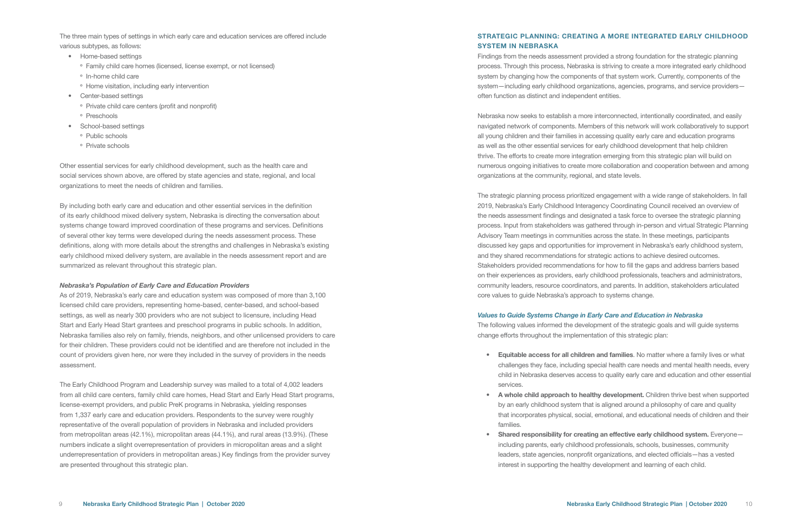- Home-based settings
	- Family child care homes (licensed, license exempt, or not licensed)
	- <sup>o</sup> In-home child care
	- Home visitation, including early intervention
- Center-based settings
- Private child care centers (profit and nonprofit)
- <sup>o</sup> Preschools
- School-based settings
	- Public schools
	- Private schools

The three main types of settings in which early care and education services are offered include various subtypes, as follows:

Other essential services for early childhood development, such as the health care and social services shown above, are offered by state agencies and state, regional, and local organizations to meet the needs of children and families.

By including both early care and education and other essential services in the definition of its early childhood mixed delivery system, Nebraska is directing the conversation about systems change toward improved coordination of these programs and services. Definitions of several other key terms were developed during the needs assessment process. These definitions, along with more details about the strengths and challenges in Nebraska's existing early childhood mixed delivery system, are available in the needs assessment report and are summarized as relevant throughout this strategic plan.

#### *Nebraska's Population of Early Care and Education Providers*

As of 2019, Nebraska's early care and education system was composed of more than 3,100 licensed child care providers, representing home-based, center-based, and school-based settings, as well as nearly 300 providers who are not subject to licensure, including Head Start and Early Head Start grantees and preschool programs in public schools. In addition, Nebraska families also rely on family, friends, neighbors, and other unlicensed providers to care for their children. These providers could not be identified and are therefore not included in the count of providers given here, nor were they included in the survey of providers in the needs assessment.

The Early Childhood Program and Leadership survey was mailed to a total of 4,002 leaders from all child care centers, family child care homes, Head Start and Early Head Start programs, license-exempt providers, and public PreK programs in Nebraska, yielding responses from 1,337 early care and education providers. Respondents to the survey were roughly representative of the overall population of providers in Nebraska and included providers from metropolitan areas (42.1%), micropolitan areas (44.1%), and rural areas (13.9%). (These numbers indicate a slight overrepresentation of providers in micropolitan areas and a slight underrepresentation of providers in metropolitan areas.) Key findings from the provider survey are presented throughout this strategic plan.

#### STRATEGIC PLANNING: CREATING A MORE INTEGRATED EARLY CHILDHOOD SYSTEM IN NEBRASKA

Shared responsibility for creating an effective early childhood system. Everyoneincluding parents, early childhood professionals, schools, businesses, community leaders, state agencies, nonprofit organizations, and elected officials—has a vested interest in supporting the healthy development and learning of each child.

Findings from the needs assessment provided a strong foundation for the strategic planning process. Through this process, Nebraska is striving to create a more integrated early childhood system by changing how the components of that system work. Currently, components of the system—including early childhood organizations, agencies, programs, and service providers often function as distinct and independent entities.

Nebraska now seeks to establish a more interconnected, intentionally coordinated, and easily navigated network of components. Members of this network will work collaboratively to support all young children and their families in accessing quality early care and education programs as well as the other essential services for early childhood development that help children thrive. The efforts to create more integration emerging from this strategic plan will build on numerous ongoing initiatives to create more collaboration and cooperation between and among organizations at the community, regional, and state levels.

The strategic planning process prioritized engagement with a wide range of stakeholders. In fall 2019, Nebraska's Early Childhood Interagency Coordinating Council received an overview of the needs assessment findings and designated a task force to oversee the strategic planning process. Input from stakeholders was gathered through in-person and virtual Strategic Planning Advisory Team meetings in communities across the state. In these meetings, participants discussed key gaps and opportunities for improvement in Nebraska's early childhood system, and they shared recommendations for strategic actions to achieve desired outcomes. Stakeholders provided recommendations for how to fill the gaps and address barriers based on their experiences as providers, early childhood professionals, teachers and administrators, community leaders, resource coordinators, and parents. In addition, stakeholders articulated core values to guide Nebraska's approach to systems change.

#### *Values to Guide Systems Change in Early Care and Education in Nebraska*

The following values informed the development of the strategic goals and will guide systems change efforts throughout the implementation of this strategic plan:

• Equitable access for all children and families. No matter where a family lives or what challenges they face, including special health care needs and mental health needs, every child in Nebraska deserves access to quality early care and education and other essential

• A whole child approach to healthy development. Children thrive best when supported by an early childhood system that is aligned around a philosophy of care and quality that incorporates physical, social, emotional, and educational needs of children and their

- services.
- families.
-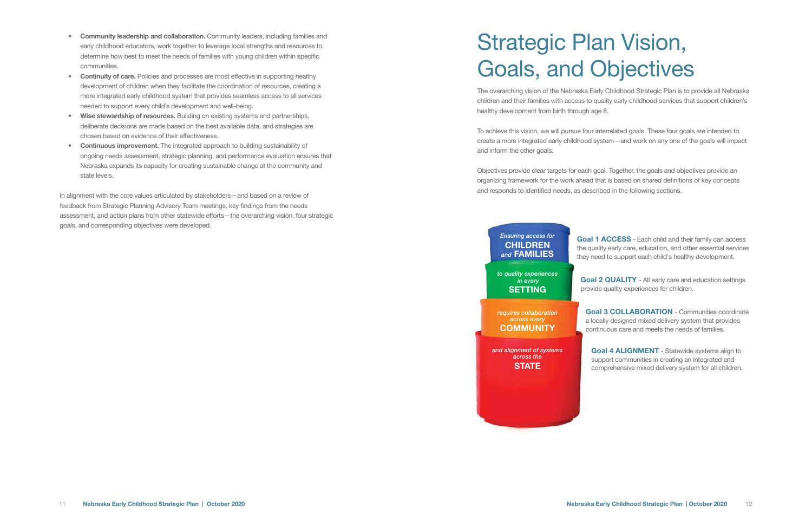- Community leadership and collaboration. Community leaders, including families and early childhood educators, work together to leverage local strengths and resources to determine how best to meet the needs of families with young children within specific communities.
- Continuity of care. Policies and processes are most effective in supporting healthy development of children when they facilitate the coordination of resources, creating a more integrated early childhood system that provides seamless access to all services needed to support every child's development and well-being.
- Wise stewardship of resources. Building on existing systems and partnerships, deliberate decisions are made based on the best available data, and strategies are chosen based on evidence of their effectiveness.
- Continuous improvement. The integrated approach to building sustainability of ongoing needs assessment, strategic planning, and performance evaluation ensures that Nebraska expands its capacity for creating sustainable change at the community and state levels.

Goal 1 ACCESS - Each child and their family can access the quality early care, education, and other essential services they need to support each child's healthy development.

In alignment with the core values articulated by stakeholders—and based on a review of feedback from Strategic Planning Advisory Team meetings, key findings from the needs assessment, and action plans from other statewide efforts—the overarching vision, four strategic goals, and corresponding objectives were developed.

> Goal 2 QUALITY - All early care and education settings provide quality experiences for children.

The overarching vision of the Nebraska Early Childhood Strategic Plan is to provide all Nebraska children and their families with access to quality early childhood services that support children's healthy development from birth through age 8.

To achieve this vision, we will pursue four interrelated goals. These four goals are intended to create a more integrated early childhood system—and work on any one of the goals will impact and inform the other goals.

Objectives provide clear targets for each goal. Together, the goals and objectives provide an organizing framework for the work ahead that is based on shared definitions of key concepts and responds to identified needs, as described in the following sections.

# Strategic Plan Vision, Goals, and Objectives



Goal 3 COLLABORATION - Communities coordinate a locally designed mixed delivery system that provides continuous care and meets the needs of families.

Goal 4 ALIGNMENT - Statewide systems align to support communities in creating an integrated and comprehensive mixed delivery system for all children.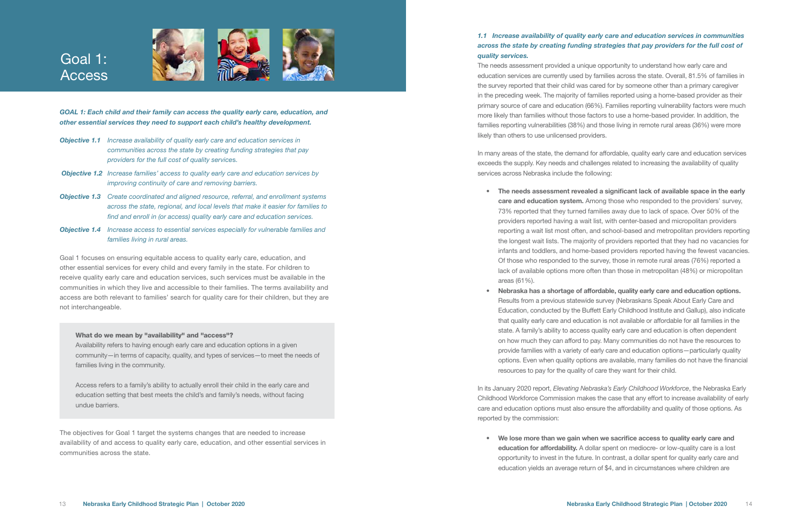

- *Objective 1.1 Increase availability of quality early care and education services in communities across the state by creating funding strategies that pay providers for the full cost of quality service*s.
- *Objective 1.2 Increase families' access to quality early care and education services by improving continuity of care and removing barriers.*
- *Objective 1.3 Create coordinated and aligned resource, referral, and enrollment systems across the state, regional, and local levels that make it easier for families to find and enroll in (or access) quality early care and education services.*
- *Objective 1.4 Increase access to essential services especially for vulnerable families and families living in rural areas.*

Goal 1 focuses on ensuring equitable access to quality early care, education, and other essential services for every child and every family in the state. For children to receive quality early care and education services, such services must be available in the communities in which they live and accessible to their families. The terms availability and access are both relevant to families' search for quality care for their children, but they are not interchangeable.

#### What do we mean by "availability" and "access"?

Availability refers to having enough early care and education options in a given community—in terms of capacity, quality, and types of services—to meet the needs of families living in the community.

In many areas of the state, the demand for affordable, quality early care and education services exceeds the supply. Key needs and challenges related to increasing the availability of quality services across Nebraska include the following:

Access refers to a family's ability to actually enroll their child in the early care and education setting that best meets the child's and family's needs, without facing undue barriers.

The objectives for Goal 1 target the systems changes that are needed to increase availability of and access to quality early care, education, and other essential services in communities across the state.



## Goal 1: Access

#### *1.1 Increase availability of quality early care and education services in communities across the state by creating funding strategies that pay providers for the full cost of quality services.*

The needs assessment provided a unique opportunity to understand how early care and education services are currently used by families across the state. Overall, 81.5% of families in the survey reported that their child was cared for by someone other than a primary caregiver in the preceding week. The majority of families reported using a home-based provider as their primary source of care and education (66%). Families reporting vulnerability factors were much more likely than families without those factors to use a home-based provider. In addition, the families reporting vulnerabilities (38%) and those living in remote rural areas (36%) were more likely than others to use unlicensed providers.

• We lose more than we gain when we sacrifice access to quality early care and education for affordability. A dollar spent on mediocre- or low-quality care is a lost opportunity to invest in the future. In contrast, a dollar spent for quality early care and education yields an average return of \$4, and in circumstances where children are

• The needs assessment revealed a significant lack of available space in the early care and education system. Among those who responded to the providers' survey, 73% reported that they turned families away due to lack of space. Over 50% of the providers reported having a wait list, with center-based and micropolitan providers reporting a wait list most often, and school-based and metropolitan providers reporting the longest wait lists. The majority of providers reported that they had no vacancies for infants and toddlers, and home-based providers reported having the fewest vacancies. Of those who responded to the survey, those in remote rural areas (76%) reported a lack of available options more often than those in metropolitan (48%) or micropolitan

• Nebraska has a shortage of affordable, quality early care and education options.

- areas (61%).
- resources to pay for the quality of care they want for their child.

Results from a previous statewide survey (Nebraskans Speak About Early Care and Education, conducted by the Buffett Early Childhood Institute and Gallup), also indicate that quality early care and education is not available or affordable for all families in the state. A family's ability to access quality early care and education is often dependent on how much they can afford to pay. Many communities do not have the resources to provide families with a variety of early care and education options—particularly quality options. Even when quality options are available, many families do not have the financial

In its January 2020 report, *Elevating Nebraska's Early Childhood Workforce*, the Nebraska Early Childhood Workforce Commission makes the case that any effort to increase availability of early care and education options must also ensure the affordability and quality of those options. As reported by the commission: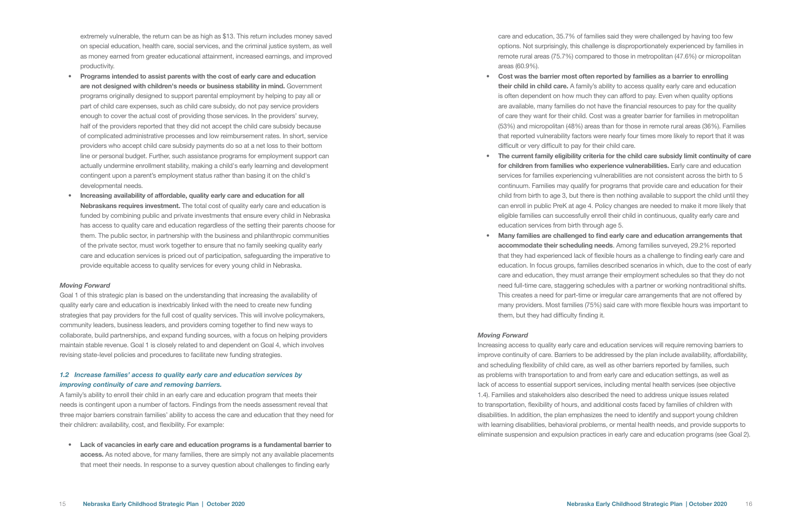extremely vulnerable, the return can be as high as \$13. This return includes money saved on special education, health care, social services, and the criminal justice system, as well as money earned from greater educational attainment, increased earnings, and improved productivity.

- Programs intended to assist parents with the cost of early care and education are not designed with children's needs or business stability in mind. Government programs originally designed to support parental employment by helping to pay all or part of child care expenses, such as child care subsidy, do not pay service providers enough to cover the actual cost of providing those services. In the providers' survey, half of the providers reported that they did not accept the child care subsidy because of complicated administrative processes and low reimbursement rates. In short, service providers who accept child care subsidy payments do so at a net loss to their bottom line or personal budget. Further, such assistance programs for employment support can actually undermine enrollment stability, making a child's early learning and development contingent upon a parent's employment status rather than basing it on the child's developmental needs.
- Increasing availability of affordable, quality early care and education for all Nebraskans requires investment. The total cost of quality early care and education is funded by combining public and private investments that ensure every child in Nebraska has access to quality care and education regardless of the setting their parents choose for them. The public sector, in partnership with the business and philanthropic communities of the private sector, must work together to ensure that no family seeking quality early care and education services is priced out of participation, safeguarding the imperative to provide equitable access to quality services for every young child in Nebraska.

#### *Moving Forward*

Goal 1 of this strategic plan is based on the understanding that increasing the availability of quality early care and education is inextricably linked with the need to create new funding strategies that pay providers for the full cost of quality services. This will involve policymakers, community leaders, business leaders, and providers coming together to find new ways to collaborate, build partnerships, and expand funding sources, with a focus on helping providers maintain stable revenue. Goal 1 is closely related to and dependent on Goal 4, which involves revising state-level policies and procedures to facilitate new funding strategies.

#### *1.2 Increase families' access to quality early care and education services by improving continuity of care and removing barriers.*

A family's ability to enroll their child in an early care and education program that meets their needs is contingent upon a number of factors. Findings from the needs assessment reveal that three major barriers constrain families' ability to access the care and education that they need for their children: availability, cost, and flexibility. For example:

• Lack of vacancies in early care and education programs is a fundamental barrier to access. As noted above, for many families, there are simply not any available placements that meet their needs. In response to a survey question about challenges to finding early

care and education, 35.7% of families said they were challenged by having too few options. Not surprisingly, this challenge is disproportionately experienced by families in remote rural areas (75.7%) compared to those in metropolitan (47.6%) or micropolitan areas (60.9%).

#### • Cost was the barrier most often reported by families as a barrier to enrolling

their child in child care. A family's ability to access quality early care and education is often dependent on how much they can afford to pay. Even when quality options are available, many families do not have the financial resources to pay for the quality of care they want for their child. Cost was a greater barrier for families in metropolitan (53%) and micropolitan (48%) areas than for those in remote rural areas (36%). Families that reported vulnerability factors were nearly four times more likely to report that it was

• The current family eligibility criteria for the child care subsidy limit continuity of care for children from families who experience vulnerabilities. Early care and education services for families experiencing vulnerabilities are not consistent across the birth to 5 continuum. Families may qualify for programs that provide care and education for their child from birth to age 3, but there is then nothing available to support the child until they can enroll in public PreK at age 4. Policy changes are needed to make it more likely that eligible families can successfully enroll their child in continuous, quality early care and

- difficult or very difficult to pay for their child care.
- education services from birth through age 5.
- them, but they had difficulty finding it.

• Many families are challenged to find early care and education arrangements that accommodate their scheduling needs. Among families surveyed, 29.2% reported that they had experienced lack of flexible hours as a challenge to finding early care and education. In focus groups, families described scenarios in which, due to the cost of early care and education, they must arrange their employment schedules so that they do not need full-time care, staggering schedules with a partner or working nontraditional shifts. This creates a need for part-time or irregular care arrangements that are not offered by many providers. Most families (75%) said care with more flexible hours was important to

#### *Moving Forward*

Increasing access to quality early care and education services will require removing barriers to improve continuity of care. Barriers to be addressed by the plan include availability, affordability, and scheduling flexibility of child care, as well as other barriers reported by families, such as problems with transportation to and from early care and education settings, as well as lack of access to essential support services, including mental health services (see objective 1.4). Families and stakeholders also described the need to address unique issues related to transportation, flexibility of hours, and additional costs faced by families of children with disabilities. In addition, the plan emphasizes the need to identify and support young children with learning disabilities, behavioral problems, or mental health needs, and provide supports to eliminate suspension and expulsion practices in early care and education programs (see Goal 2).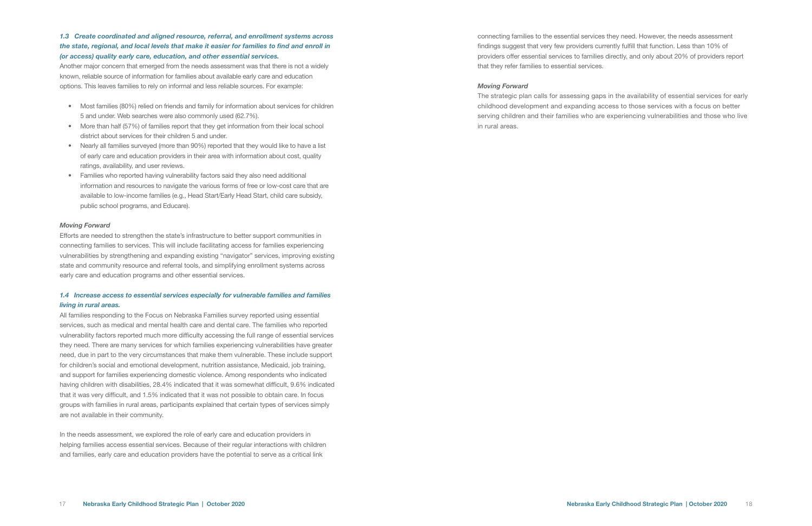Another major concern that emerged from the needs assessment was that there is not a widely known, reliable source of information for families about available early care and education options. This leaves families to rely on informal and less reliable sources. For example:

- Most families (80%) relied on friends and family for information about services for children 5 and under. Web searches were also commonly used (62.7%).
- More than half (57%) of families report that they get information from their local school district about services for their children 5 and under.
- Nearly all families surveyed (more than 90%) reported that they would like to have a list of early care and education providers in their area with information about cost, quality ratings, availability, and user reviews.
- Families who reported having vulnerability factors said they also need additional information and resources to navigate the various forms of free or low-cost care that are available to low-income families (e.g., Head Start/Early Head Start, child care subsidy, public school programs, and Educare).

#### *Moving Forward*

Efforts are needed to strengthen the state's infrastructure to better support communities in connecting families to services. This will include facilitating access for families experiencing vulnerabilities by strengthening and expanding existing "navigator" services, improving existing state and community resource and referral tools, and simplifying enrollment systems across early care and education programs and other essential services.

#### *1.4 Increase access to essential services especially for vulnerable families and families living in rural areas.*

All families responding to the Focus on Nebraska Families survey reported using essential services, such as medical and mental health care and dental care. The families who reported vulnerability factors reported much more difficulty accessing the full range of essential services they need. There are many services for which families experiencing vulnerabilities have greater need, due in part to the very circumstances that make them vulnerable. These include support for children's social and emotional development, nutrition assistance, Medicaid, job training, and support for families experiencing domestic violence. Among respondents who indicated having children with disabilities, 28.4% indicated that it was somewhat difficult, 9.6% indicated that it was very difficult, and 1.5% indicated that it was not possible to obtain care. In focus groups with families in rural areas, participants explained that certain types of services simply are not available in their community.

In the needs assessment, we explored the role of early care and education providers in helping families access essential services. Because of their regular interactions with children and families, early care and education providers have the potential to serve as a critical link

connecting families to the essential services they need. However, the needs assessment findings suggest that very few providers currently fulfill that function. Less than 10% of providers offer essential services to families directly, and only about 20% of providers report that they refer families to essential services.

#### *Moving Forward*

The strategic plan calls for assessing gaps in the availability of essential services for early childhood development and expanding access to those services with a focus on better serving children and their families who are experiencing vulnerabilities and those who live in rural areas.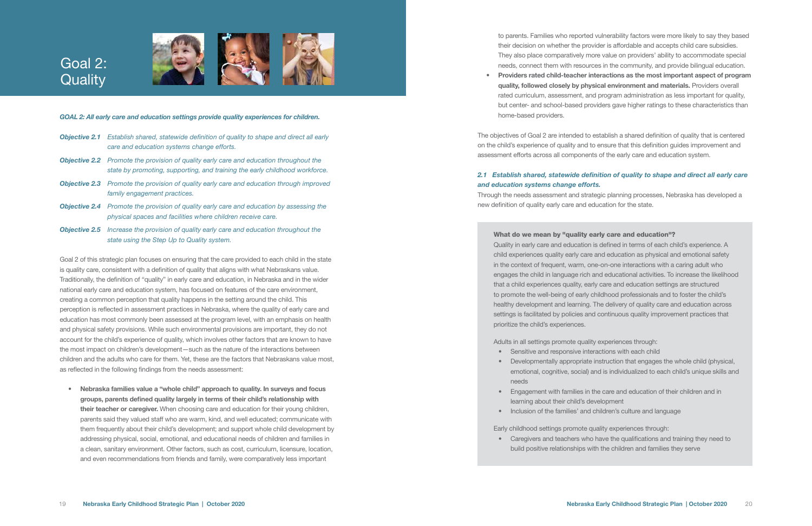- 
- 
- 
- 

#### *GOAL 2: All early care and education settings provide quality experiences for children.*

- *Objective 2.1 Establish shared, statewide definition of quality to shape and direct all early care and education systems change efforts.*
- *Objective 2.2 Promote the provision of quality early care and education throughout the state by promoting, supporting, and training the early childhood workforce.*
- *Objective 2.3 Promote the provision of quality early care and education through improved family engagement practices.*
- *Objective 2.4 Promote the provision of quality early care and education by assessing the physical spaces and facilities where children receive care.*
- *Objective 2.5 Increase the provision of quality early care and education throughout the state using the Step Up to Quality system.*

## Goal 2: **Quality**



Goal 2 of this strategic plan focuses on ensuring that the care provided to each child in the state is quality care, consistent with a definition of quality that aligns with what Nebraskans value. Traditionally, the definition of "quality" in early care and education, in Nebraska and in the wider national early care and education system, has focused on features of the care environment, creating a common perception that quality happens in the setting around the child. This perception is reflected in assessment practices in Nebraska, where the quality of early care and education has most commonly been assessed at the program level, with an emphasis on health and physical safety provisions. While such environmental provisions are important, they do not account for the child's experience of quality, which involves other factors that are known to have the most impact on children's development—such as the nature of the interactions between children and the adults who care for them. Yet, these are the factors that Nebraskans value most, as reflected in the following findings from the needs assessment:

• Nebraska families value a "whole child" approach to quality. In surveys and focus groups, parents defined quality largely in terms of their child's relationship with their teacher or caregiver. When choosing care and education for their young children, parents said they valued staff who are warm, kind, and well educated; communicate with them frequently about their child's development; and support whole child development by addressing physical, social, emotional, and educational needs of children and families in a clean, sanitary environment. Other factors, such as cost, curriculum, licensure, location, and even recommendations from friends and family, were comparatively less important

to parents. Families who reported vulnerability factors were more likely to say they based their decision on whether the provider is affordable and accepts child care subsidies. They also place comparatively more value on providers' ability to accommodate special needs, connect them with resources in the community, and provide bilingual education. • Providers rated child-teacher interactions as the most important aspect of program quality, followed closely by physical environment and materials. Providers overall rated curriculum, assessment, and program administration as less important for quality, but center- and school-based providers gave higher ratings to these characteristics than

home-based providers.

The objectives of Goal 2 are intended to establish a shared definition of quality that is centered on the child's experience of quality and to ensure that this definition guides improvement and assessment efforts across all components of the early care and education system.

*2.1 Establish shared, statewide definition of quality to shape and direct all early care and education systems change efforts.* Through the needs assessment and strategic planning processes, Nebraska has developed a new definition of quality early care and education for the state.

What do we mean by "quality early care and education"? Quality in early care and education is defined in terms of each child's experience. A child experiences quality early care and education as physical and emotional safety in the context of frequent, warm, one-on-one interactions with a caring adult who engages the child in language rich and educational activities. To increase the likelihood that a child experiences quality, early care and education settings are structured to promote the well-being of early childhood professionals and to foster the child's healthy development and learning. The delivery of quality care and education across settings is facilitated by policies and continuous quality improvement practices that prioritize the child's experiences.

Adults in all settings promote quality experiences through:

- Sensitive and responsive interactions with each child
- Developmentally appropriate instruction that engages the whole child (physical, emotional, cognitive, social) and is individualized to each child's unique skills and needs
- Engagement with families in the care and education of their children and in learning about their child's development
- Inclusion of the families' and children's culture and language

Early childhood settings promote quality experiences through:

• Caregivers and teachers who have the qualifications and training they need to build positive relationships with the children and families they serve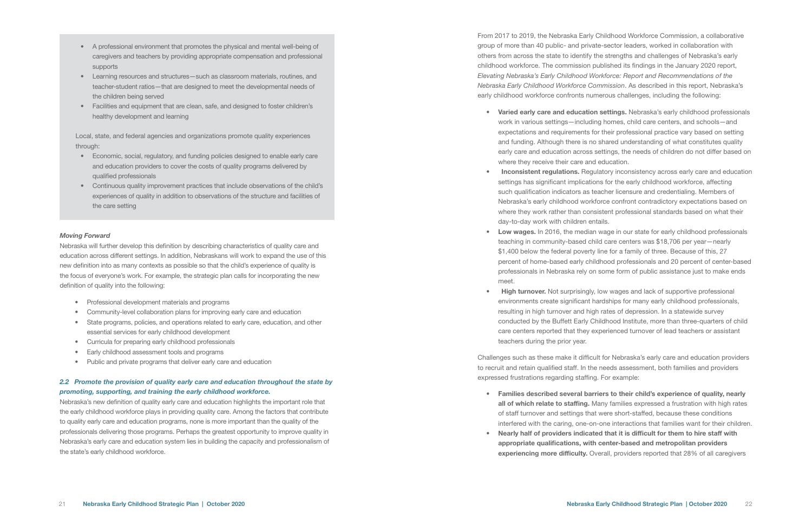- A professional environment that promotes the physical and mental well-being of caregivers and teachers by providing appropriate compensation and professional supports
- Learning resources and structures—such as classroom materials, routines, and teacher-student ratios—that are designed to meet the developmental needs of the children being served
- Facilities and equipment that are clean, safe, and designed to foster children's healthy development and learning

Local, state, and federal agencies and organizations promote quality experiences through:

- Professional development materials and programs
- Community-level collaboration plans for improving early care and education
- State programs, policies, and operations related to early care, education, and other essential services for early childhood development
- Curricula for preparing early childhood professionals
- Early childhood assessment tools and programs
- Public and private programs that deliver early care and education
- Economic, social, regulatory, and funding policies designed to enable early care and education providers to cover the costs of quality programs delivered by qualified professionals
- Continuous quality improvement practices that include observations of the child's experiences of quality in addition to observations of the structure and facilities of the care setting

#### *Moving Forward*

Nebraska will further develop this definition by describing characteristics of quality care and education across different settings. In addition, Nebraskans will work to expand the use of this new definition into as many contexts as possible so that the child's experience of quality is the focus of everyone's work. For example, the strategic plan calls for incorporating the new definition of quality into the following:

#### *2.2 Promote the provision of quality early care and education throughout the state by promoting, supporting, and training the early childhood workforce.*

• Low wages. In 2016, the median wage in our state for early childhood professionals teaching in community-based child care centers was \$18,706 per year—nearly \$1,400 below the federal poverty line for a family of three. Because of this, 27 percent of home-based early childhood professionals and 20 percent of center-based professionals in Nebraska rely on some form of public assistance just to make ends

Nebraska's new definition of quality early care and education highlights the important role that the early childhood workforce plays in providing quality care. Among the factors that contribute to quality early care and education programs, none is more important than the quality of the professionals delivering those programs. Perhaps the greatest opportunity to improve quality in Nebraska's early care and education system lies in building the capacity and professionalism of the state's early childhood workforce.

• High turnover. Not surprisingly, low wages and lack of supportive professional environments create significant hardships for many early childhood professionals, resulting in high turnover and high rates of depression. In a statewide survey conducted by the Buffett Early Childhood Institute, more than three-quarters of child care centers reported that they experienced turnover of lead teachers or assistant

From 2017 to 2019, the Nebraska Early Childhood Workforce Commission, a collaborative group of more than 40 public- and private-sector leaders, worked in collaboration with others from across the state to identify the strengths and challenges of Nebraska's early childhood workforce. The commission published its findings in the January 2020 report, *Elevating Nebraska's Early Childhood Workforce: Report and Recommendations of the Nebraska Early Childhood Workforce Commission*. As described in this report, Nebraska's early childhood workforce confronts numerous challenges, including the following:

• Varied early care and education settings. Nebraska's early childhood professionals work in various settings—including homes, child care centers, and schools—and expectations and requirements for their professional practice vary based on setting and funding. Although there is no shared understanding of what constitutes quality early care and education across settings, the needs of children do not differ based on

• Inconsistent regulations. Regulatory inconsistency across early care and education settings has significant implications for the early childhood workforce, affecting such qualification indicators as teacher licensure and credentialing. Members of Nebraska's early childhood workforce confront contradictory expectations based on where they work rather than consistent professional standards based on what their

- where they receive their care and education.
- day-to-day work with children entails.
- meet.
- teachers during the prior year.

Challenges such as these make it difficult for Nebraska's early care and education providers to recruit and retain qualified staff. In the needs assessment, both families and providers expressed frustrations regarding staffing. For example:

- 
- 

• Families described several barriers to their child's experience of quality, nearly all of which relate to staffing. Many families expressed a frustration with high rates of staff turnover and settings that were short-staffed, because these conditions interfered with the caring, one-on-one interactions that families want for their children. • Nearly half of providers indicated that it is difficult for them to hire staff with appropriate qualifications, with center-based and metropolitan providers experiencing more difficulty. Overall, providers reported that 28% of all caregivers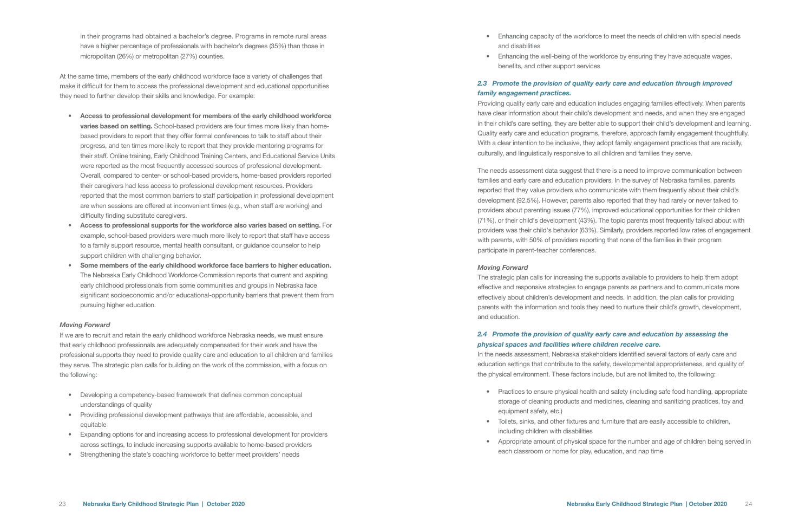• Enhancing capacity of the workforce to meet the needs of children with special needs

in their programs had obtained a bachelor's degree. Programs in remote rural areas have a higher percentage of professionals with bachelor's degrees (35%) than those in micropolitan (26%) or metropolitan (27%) counties.

At the same time, members of the early childhood workforce face a variety of challenges that make it difficult for them to access the professional development and educational opportunities they need to further develop their skills and knowledge. For example:

- Access to professional development for members of the early childhood workforce varies based on setting. School-based providers are four times more likely than homebased providers to report that they offer formal conferences to talk to staff about their progress, and ten times more likely to report that they provide mentoring programs for their staff. Online training, Early Childhood Training Centers, and Educational Service Units were reported as the most frequently accessed sources of professional development. Overall, compared to center- or school-based providers, home-based providers reported their caregivers had less access to professional development resources. Providers reported that the most common barriers to staff participation in professional development are when sessions are offered at inconvenient times (e.g., when staff are working) and difficulty finding substitute caregivers.
- Access to professional supports for the workforce also varies based on setting. For example, school-based providers were much more likely to report that staff have access to a family support resource, mental health consultant, or guidance counselor to help support children with challenging behavior.
- Some members of the early childhood workforce face barriers to higher education. The Nebraska Early Childhood Workforce Commission reports that current and aspiring early childhood professionals from some communities and groups in Nebraska face significant socioeconomic and/or educational-opportunity barriers that prevent them from pursuing higher education.

#### *Moving Forward*

If we are to recruit and retain the early childhood workforce Nebraska needs, we must ensure that early childhood professionals are adequately compensated for their work and have the professional supports they need to provide quality care and education to all children and families they serve. The strategic plan calls for building on the work of the commission, with a focus on the following:

- Developing a competency-based framework that defines common conceptual understandings of quality
- Providing professional development pathways that are affordable, accessible, and equitable
- Expanding options for and increasing access to professional development for providers across settings, to include increasing supports available to home-based providers
- Strengthening the state's coaching workforce to better meet providers' needs

• Practices to ensure physical health and safety (including safe food handling, appropriate storage of cleaning products and medicines, cleaning and sanitizing practices, toy and

• Enhancing the well-being of the workforce by ensuring they have adequate wages,

- and disabilities
- benefits, and other support services

#### *2.3 Promote the provision of quality early care and education through improved family engagement practices.*

Providing quality early care and education includes engaging families effectively. When parents have clear information about their child's development and needs, and when they are engaged in their child's care setting, they are better able to support their child's development and learning. Quality early care and education programs, therefore, approach family engagement thoughtfully. With a clear intention to be inclusive, they adopt family engagement practices that are racially, culturally, and linguistically responsive to all children and families they serve.

The needs assessment data suggest that there is a need to improve communication between families and early care and education providers. In the survey of Nebraska families, parents reported that they value providers who communicate with them frequently about their child's development (92.5%). However, parents also reported that they had rarely or never talked to providers about parenting issues (77%), improved educational opportunities for their children (71%), or their child's development (43%). The topic parents most frequently talked about with providers was their child's behavior (63%). Similarly, providers reported low rates of engagement with parents, with 50% of providers reporting that none of the families in their program participate in parent-teacher conferences.

#### *Moving Forward*

The strategic plan calls for increasing the supports available to providers to help them adopt effective and responsive strategies to engage parents as partners and to communicate more effectively about children's development and needs. In addition, the plan calls for providing parents with the information and tools they need to nurture their child's growth, development, and education.

#### *2.4 Promote the provision of quality early care and education by assessing the physical spaces and facilities where children receive care.*

In the needs assessment, Nebraska stakeholders identified several factors of early care and education settings that contribute to the safety, developmental appropriateness, and quality of the physical environment. These factors include, but are not limited to, the following:

• Toilets, sinks, and other fixtures and furniture that are easily accessible to children,

- equipment safety, etc.)
- including children with disabilities
- each classroom or home for play, education, and nap time

• Appropriate amount of physical space for the number and age of children being served in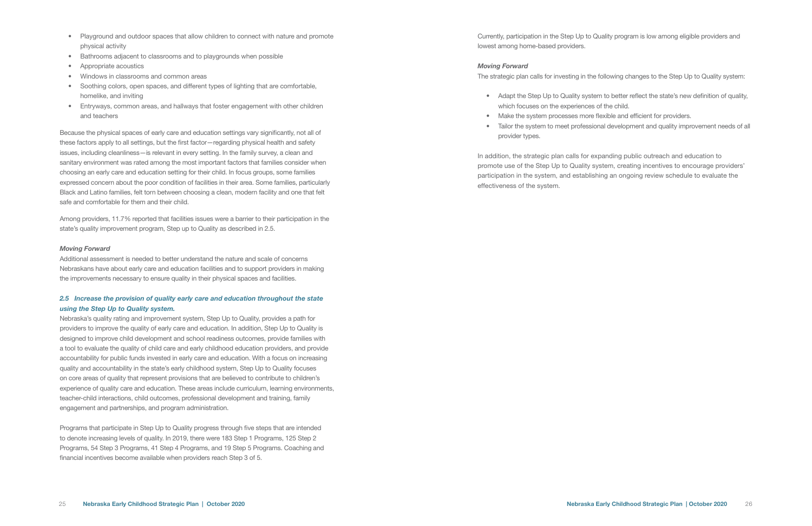- Playground and outdoor spaces that allow children to connect with nature and promote physical activity
- Bathrooms adjacent to classrooms and to playgrounds when possible
- Appropriate acoustics
- Windows in classrooms and common areas
- Soothing colors, open spaces, and different types of lighting that are comfortable, homelike, and inviting
- Entryways, common areas, and hallways that foster engagement with other children and teachers

Because the physical spaces of early care and education settings vary significantly, not all of these factors apply to all settings, but the first factor—regarding physical health and safety issues, including cleanliness—is relevant in every setting. In the family survey, a clean and sanitary environment was rated among the most important factors that families consider when choosing an early care and education setting for their child. In focus groups, some families expressed concern about the poor condition of facilities in their area. Some families, particularly Black and Latino families, felt torn between choosing a clean, modern facility and one that felt safe and comfortable for them and their child.

Among providers, 11.7% reported that facilities issues were a barrier to their participation in the state's quality improvement program, Step up to Quality as described in 2.5.

#### *Moving Forward*

Additional assessment is needed to better understand the nature and scale of concerns Nebraskans have about early care and education facilities and to support providers in making the improvements necessary to ensure quality in their physical spaces and facilities.

#### *2.5 Increase the provision of quality early care and education throughout the state using the Step Up to Quality system.*

- Adapt the Step Up to Quality system to better reflect the state's new definition of quality, which focuses on the experiences of the child.
- Make the system processes more flexible and efficient for providers.
- provider types.

Nebraska's quality rating and improvement system, Step Up to Quality, provides a path for providers to improve the quality of early care and education. In addition, Step Up to Quality is designed to improve child development and school readiness outcomes, provide families with a tool to evaluate the quality of child care and early childhood education providers, and provide accountability for public funds invested in early care and education. With a focus on increasing quality and accountability in the state's early childhood system, Step Up to Quality focuses on core areas of quality that represent provisions that are believed to contribute to children's experience of quality care and education. These areas include curriculum, learning environments, teacher-child interactions, child outcomes, professional development and training, family engagement and partnerships, and program administration.

Programs that participate in Step Up to Quality progress through five steps that are intended to denote increasing levels of quality. In 2019, there were 183 Step 1 Programs, 125 Step 2 Programs, 54 Step 3 Programs, 41 Step 4 Programs, and 19 Step 5 Programs. Coaching and financial incentives become available when providers reach Step 3 of 5.

Currently, participation in the Step Up to Quality program is low among eligible providers and lowest among home-based providers.

#### *Moving Forward*

The strategic plan calls for investing in the following changes to the Step Up to Quality system:

• Tailor the system to meet professional development and quality improvement needs of all

In addition, the strategic plan calls for expanding public outreach and education to promote use of the Step Up to Quality system, creating incentives to encourage providers' participation in the system, and establishing an ongoing review schedule to evaluate the effectiveness of the system.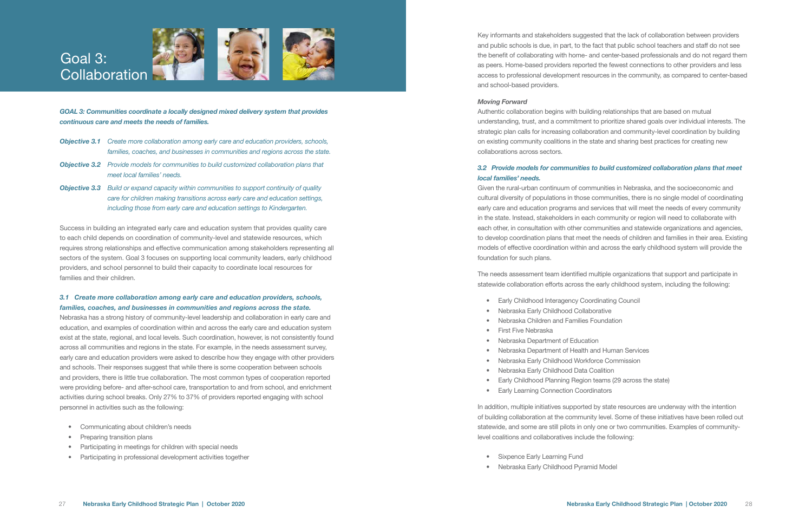- 
- 
- 
- 
- 
- 
- 

*GOAL 3: Communities coordinate a locally designed mixed delivery system that provides continuous care and meets the needs of families.* 

- *Objective 3.1 Create more collaboration among early care and education providers, schools, families, coaches, and businesses in communities and regions across the state.*
- *Objective 3.2 Provide models for communities to build customized collaboration plans that meet local families' needs.*
- *Objective 3.3 Build or expand capacity within communities to support continuity of quality care for children making transitions across early care and education settings, including those from early care and education settings to Kindergarten.*

Success in building an integrated early care and education system that provides quality care to each child depends on coordination of community-level and statewide resources, which requires strong relationships and effective communication among stakeholders representing all sectors of the system. Goal 3 focuses on supporting local community leaders, early childhood providers, and school personnel to build their capacity to coordinate local resources for families and their children.

#### *3.1 Create more collaboration among early care and education providers, schools, families, coaches, and businesses in communities and regions across the state.*

Nebraska has a strong history of community-level leadership and collaboration in early care and education, and examples of coordination within and across the early care and education system exist at the state, regional, and local levels. Such coordination, however, is not consistently found across all communities and regions in the state. For example, in the needs assessment survey, early care and education providers were asked to describe how they engage with other providers and schools. Their responses suggest that while there is some cooperation between schools and providers, there is little true collaboration. The most common types of cooperation reported were providing before- and after-school care, transportation to and from school, and enrichment activities during school breaks. Only 27% to 37% of providers reported engaging with school personnel in activities such as the following:

- Communicating about children's needs
- Preparing transition plans
- Participating in meetings for children with special needs
- Participating in professional development activities together



- Sixpence Early Learning Fund
- Nebraska Early Childhood Pyramid Model

Key informants and stakeholders suggested that the lack of collaboration between providers and public schools is due, in part, to the fact that public school teachers and staff do not see the benefit of collaborating with home- and center-based professionals and do not regard them as peers. Home-based providers reported the fewest connections to other providers and less access to professional development resources in the community, as compared to center-based and school-based providers.

#### *Moving Forward*

Authentic collaboration begins with building relationships that are based on mutual understanding, trust, and a commitment to prioritize shared goals over individual interests. The strategic plan calls for increasing collaboration and community-level coordination by building on existing community coalitions in the state and sharing best practices for creating new collaborations across sectors.

#### *3.2 Provide models for communities to build customized collaboration plans that meet local families' needs.*

Given the rural-urban continuum of communities in Nebraska, and the socioeconomic and cultural diversity of populations in those communities, there is no single model of coordinating early care and education programs and services that will meet the needs of every community in the state. Instead, stakeholders in each community or region will need to collaborate with each other, in consultation with other communities and statewide organizations and agencies, to develop coordination plans that meet the needs of children and families in their area. Existing models of effective coordination within and across the early childhood system will provide the foundation for such plans.

The needs assessment team identified multiple organizations that support and participate in statewide collaboration efforts across the early childhood system, including the following:

- Early Childhood Interagency Coordinating Council
- Nebraska Early Childhood Collaborative
- Nebraska Children and Families Foundation
- First Five Nebraska
- Nebraska Department of Education
- Nebraska Department of Health and Human Services
- Nebraska Early Childhood Workforce Commission
- Nebraska Early Childhood Data Coalition
- Early Childhood Planning Region teams (29 across the state)
- Early Learning Connection Coordinators

In addition, multiple initiatives supported by state resources are underway with the intention of building collaboration at the community level. Some of these initiatives have been rolled out statewide, and some are still pilots in only one or two communities. Examples of communitylevel coalitions and collaboratives include the following: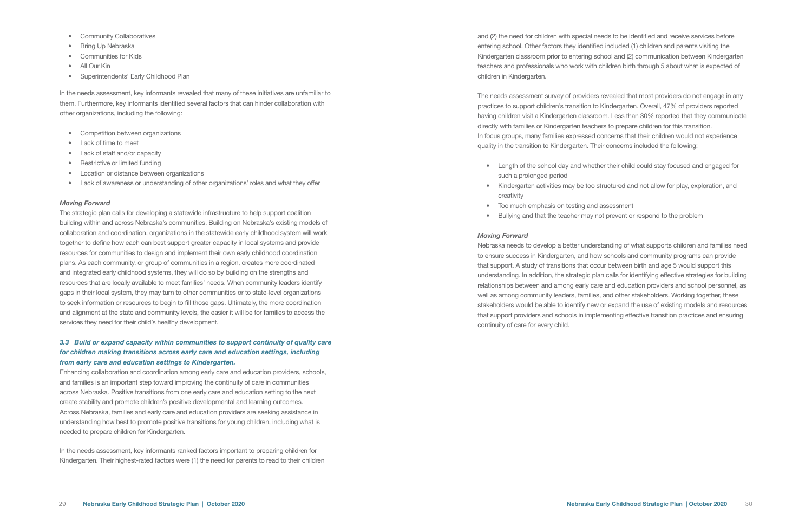- Community Collaboratives
- Bring Up Nebraska
- Communities for Kids
- All Our Kin
- Superintendents' Early Childhood Plan

In the needs assessment, key informants revealed that many of these initiatives are unfamiliar to them. Furthermore, key informants identified several factors that can hinder collaboration with other organizations, including the following:

- Competition between organizations
- Lack of time to meet
- Lack of staff and/or capacity
- Restrictive or limited funding
- Location or distance between organizations
- Lack of awareness or understanding of other organizations' roles and what they offer

#### *Moving Forward*

The strategic plan calls for developing a statewide infrastructure to help support coalition building within and across Nebraska's communities. Building on Nebraska's existing models of collaboration and coordination, organizations in the statewide early childhood system will work together to define how each can best support greater capacity in local systems and provide resources for communities to design and implement their own early childhood coordination plans. As each community, or group of communities in a region, creates more coordinated and integrated early childhood systems, they will do so by building on the strengths and resources that are locally available to meet families' needs. When community leaders identify gaps in their local system, they may turn to other communities or to state-level organizations to seek information or resources to begin to fill those gaps. Ultimately, the more coordination and alignment at the state and community levels, the easier it will be for families to access the services they need for their child's healthy development.

#### *3.3 Build or expand capacity within communities to support continuity of quality care for children making transitions across early care and education settings, including from early care and education settings to Kindergarten.*

Enhancing collaboration and coordination among early care and education providers, schools, and families is an important step toward improving the continuity of care in communities across Nebraska. Positive transitions from one early care and education setting to the next create stability and promote children's positive developmental and learning outcomes. Across Nebraska, families and early care and education providers are seeking assistance in understanding how best to promote positive transitions for young children, including what is needed to prepare children for Kindergarten.

In the needs assessment, key informants ranked factors important to preparing children for Kindergarten. Their highest-rated factors were (1) the need for parents to read to their children

and (2) the need for children with special needs to be identified and receive services before entering school. Other factors they identified included (1) children and parents visiting the Kindergarten classroom prior to entering school and (2) communication between Kindergarten teachers and professionals who work with children birth through 5 about what is expected of children in Kindergarten.

The needs assessment survey of providers revealed that most providers do not engage in any practices to support children's transition to Kindergarten. Overall, 47% of providers reported having children visit a Kindergarten classroom. Less than 30% reported that they communicate directly with families or Kindergarten teachers to prepare children for this transition. In focus groups, many families expressed concerns that their children would not experience quality in the transition to Kindergarten. Their concerns included the following:

• Length of the school day and whether their child could stay focused and engaged for

• Kindergarten activities may be too structured and not allow for play, exploration, and

- such a prolonged period
- creativity
- Too much emphasis on testing and assessment
- Bullying and that the teacher may not prevent or respond to the problem

#### *Moving Forward*

Nebraska needs to develop a better understanding of what supports children and families need to ensure success in Kindergarten, and how schools and community programs can provide that support. A study of transitions that occur between birth and age 5 would support this understanding. In addition, the strategic plan calls for identifying effective strategies for building relationships between and among early care and education providers and school personnel, as well as among community leaders, families, and other stakeholders. Working together, these stakeholders would be able to identify new or expand the use of existing models and resources that support providers and schools in implementing effective transition practices and ensuring continuity of care for every child.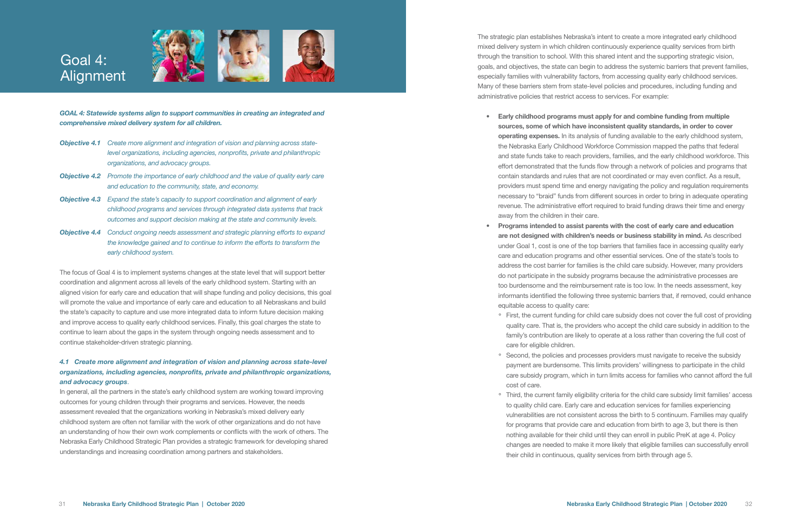*GOAL 4: Statewide systems align to support communities in creating an integrated and comprehensive mixed delivery system for all children.*

- *Objective 4.1 Create more alignment and integration of vision and planning across statelevel organizations, including agencies, nonprofits, private and philanthropic organizations, and advocacy groups.*
- *Objective 4.2 Promote the importance of early childhood and the value of quality early care and education to the community, state, and economy.*
- *Objective 4.3 Expand the state's capacity to support coordination and alignment of early childhood programs and services through integrated data systems that track outcomes and support decision making at the state and community levels.*
- *Objective 4.4 Conduct ongoing needs assessment and strategic planning efforts to expand the knowledge gained and to continue to inform the efforts to transform the early childhood system.*

## Goal 4: Alignment





The focus of Goal 4 is to implement systems changes at the state level that will support better coordination and alignment across all levels of the early childhood system. Starting with an aligned vision for early care and education that will shape funding and policy decisions, this goal will promote the value and importance of early care and education to all Nebraskans and build the state's capacity to capture and use more integrated data to inform future decision making and improve access to quality early childhood services. Finally, this goal charges the state to continue to learn about the gaps in the system through ongoing needs assessment and to continue stakeholder-driven strategic planning.

#### *4.1 Create more alignment and integration of vision and planning across state-level organizations, including agencies, nonprofits, private and philanthropic organizations, and advocacy groups*.

In general, all the partners in the state's early childhood system are working toward improving outcomes for young children through their programs and services. However, the needs assessment revealed that the organizations working in Nebraska's mixed delivery early childhood system are often not familiar with the work of other organizations and do not have an understanding of how their own work complements or conflicts with the work of others. The Nebraska Early Childhood Strategic Plan provides a strategic framework for developing shared understandings and increasing coordination among partners and stakeholders.

• First, the current funding for child care subsidy does not cover the full cost of providing quality care. That is, the providers who accept the child care subsidy in addition to the family's contribution are likely to operate at a loss rather than covering the full cost of

• Second, the policies and processes providers must navigate to receive the subsidy payment are burdensome. This limits providers' willingness to participate in the child care subsidy program, which in turn limits access for families who cannot afford the full

The strategic plan establishes Nebraska's intent to create a more integrated early childhood mixed delivery system in which children continuously experience quality services from birth through the transition to school. With this shared intent and the supporting strategic vision, goals, and objectives, the state can begin to address the systemic barriers that prevent families, especially families with vulnerability factors, from accessing quality early childhood services. Many of these barriers stem from state-level policies and procedures, including funding and administrative policies that restrict access to services. For example:

• Third, the current family eligibility criteria for the child care subsidy limit families' access to quality child care. Early care and education services for families experiencing vulnerabilities are not consistent across the birth to 5 continuum. Families may qualify for programs that provide care and education from birth to age 3, but there is then nothing available for their child until they can enroll in public PreK at age 4. Policy changes are needed to make it more likely that eligible families can successfully enroll their child in continuous, quality services from birth through age 5.

• Early childhood programs must apply for and combine funding from multiple sources, some of which have inconsistent quality standards, in order to cover operating expenses. In its analysis of funding available to the early childhood system, the Nebraska Early Childhood Workforce Commission mapped the paths that federal and state funds take to reach providers, families, and the early childhood workforce. This effort demonstrated that the funds flow through a network of policies and programs that contain standards and rules that are not coordinated or may even conflict. As a result, providers must spend time and energy navigating the policy and regulation requirements necessary to "braid" funds from different sources in order to bring in adequate operating revenue. The administrative effort required to braid funding draws their time and energy

• Programs intended to assist parents with the cost of early care and education are not designed with children's needs or business stability in mind. As described under Goal 1, cost is one of the top barriers that families face in accessing quality early care and education programs and other essential services. One of the state's tools to address the cost barrier for families is the child care subsidy. However, many providers do not participate in the subsidy programs because the administrative processes are too burdensome and the reimbursement rate is too low. In the needs assessment, key informants identified the following three systemic barriers that, if removed, could enhance

- away from the children in their care.
- equitable access to quality care:
	- care for eligible children.
	- cost of care.
	-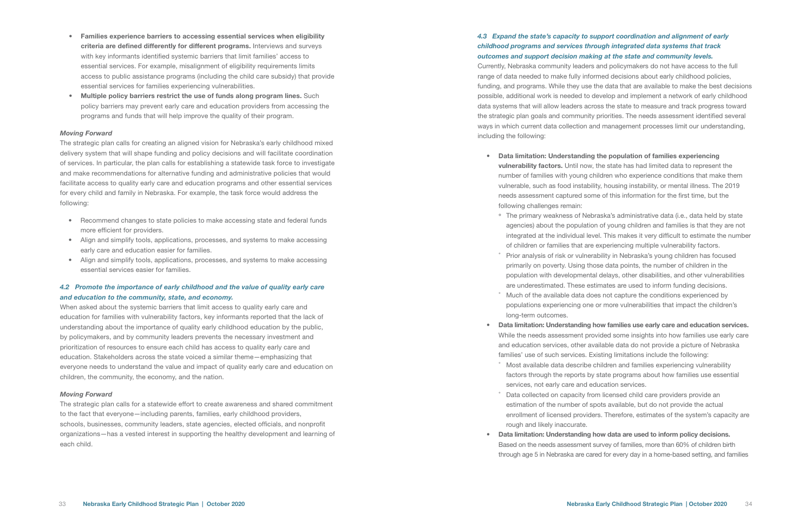- Families experience barriers to accessing essential services when eligibility criteria are defined differently for different programs. Interviews and surveys with key informants identified systemic barriers that limit families' access to essential services. For example, misalignment of eligibility requirements limits access to public assistance programs (including the child care subsidy) that provide essential services for families experiencing vulnerabilities.
- Multiple policy barriers restrict the use of funds along program lines. Such policy barriers may prevent early care and education providers from accessing the programs and funds that will help improve the quality of their program.

#### *Moving Forward*

The strategic plan calls for creating an aligned vision for Nebraska's early childhood mixed delivery system that will shape funding and policy decisions and will facilitate coordination of services. In particular, the plan calls for establishing a statewide task force to investigate and make recommendations for alternative funding and administrative policies that would facilitate access to quality early care and education programs and other essential services for every child and family in Nebraska. For example, the task force would address the following:

- Recommend changes to state policies to make accessing state and federal funds more efficient for providers.
- Align and simplify tools, applications, processes, and systems to make accessing early care and education easier for families.
- Align and simplify tools, applications, processes, and systems to make accessing essential services easier for families.

#### *4.2 Promote the importance of early childhood and the value of quality early care and education to the community, state, and economy.*

When asked about the systemic barriers that limit access to quality early care and education for families with vulnerability factors, key informants reported that the lack of understanding about the importance of quality early childhood education by the public, by policymakers, and by community leaders prevents the necessary investment and prioritization of resources to ensure each child has access to quality early care and education. Stakeholders across the state voiced a similar theme—emphasizing that everyone needs to understand the value and impact of quality early care and education on children, the community, the economy, and the nation.

• The primary weakness of Nebraska's administrative data (i.e., data held by state agencies) about the population of young children and families is that they are not integrated at the individual level. This makes it very difficult to estimate the number of children or families that are experiencing multiple vulnerability factors. Prior analysis of risk or vulnerability in Nebraska's young children has focused primarily on poverty. Using those data points, the number of children in the population with developmental delays, other disabilities, and other vulnerabilities are underestimated. These estimates are used to inform funding decisions. Much of the available data does not capture the conditions experienced by populations experiencing one or more vulnerabilities that impact the children's

#### *Moving Forward*

The strategic plan calls for a statewide effort to create awareness and shared commitment to the fact that everyone—including parents, families, early childhood providers, schools, businesses, community leaders, state agencies, elected officials, and nonprofit organizations—has a vested interest in supporting the healthy development and learning of each child.

Most available data describe children and families experiencing vulnerability factors through the reports by state programs about how families use essential

Data collected on capacity from licensed child care providers provide an estimation of the number of spots available, but do not provide the actual enrollment of licensed providers. Therefore, estimates of the system's capacity are

#### *4.3 Expand the state's capacity to support coordination and alignment of early childhood programs and services through integrated data systems that track outcomes and support decision making at the state and community levels.*

Currently, Nebraska community leaders and policymakers do not have access to the full range of data needed to make fully informed decisions about early childhood policies, funding, and programs. While they use the data that are available to make the best decisions possible, additional work is needed to develop and implement a network of early childhood data systems that will allow leaders across the state to measure and track progress toward the strategic plan goals and community priorities. The needs assessment identified several ways in which current data collection and management processes limit our understanding, including the following:

#### • Data limitation: Understanding the population of families experiencing

vulnerability factors. Until now, the state has had limited data to represent the number of families with young children who experience conditions that make them vulnerable, such as food instability, housing instability, or mental illness. The 2019 needs assessment captured some of this information for the first time, but the

- following challenges remain:
	-
	-
	- long-term outcomes.
- - services, not early care and education services. rough and likely inaccurate.
- 

#### • Data limitation: Understanding how families use early care and education services.

While the needs assessment provided some insights into how families use early care and education services, other available data do not provide a picture of Nebraska families' use of such services. Existing limitations include the following:

#### • Data limitation: Understanding how data are used to inform policy decisions. Based on the needs assessment survey of families, more than 60% of children birth through age 5 in Nebraska are cared for every day in a home-based setting, and families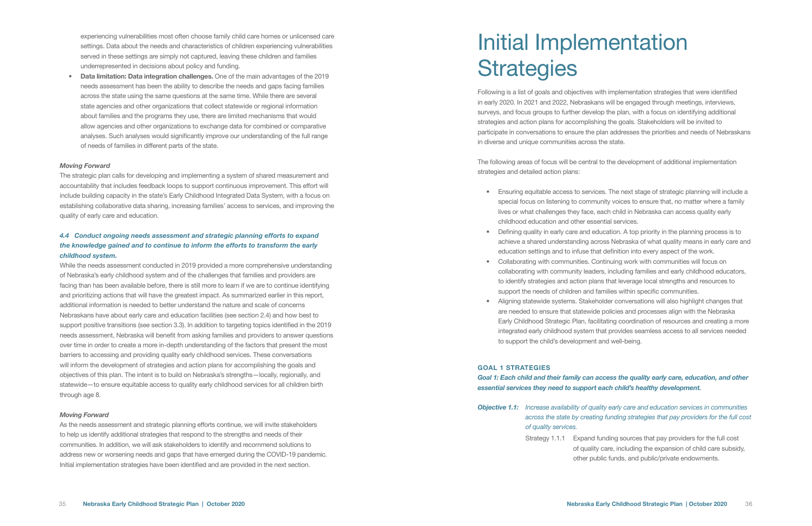experiencing vulnerabilities most often choose family child care homes or unlicensed care settings. Data about the needs and characteristics of children experiencing vulnerabilities served in these settings are simply not captured, leaving these children and families underrepresented in decisions about policy and funding.

• Data limitation: Data integration challenges. One of the main advantages of the 2019 needs assessment has been the ability to describe the needs and gaps facing families across the state using the same questions at the same time. While there are several state agencies and other organizations that collect statewide or regional information about families and the programs they use, there are limited mechanisms that would allow agencies and other organizations to exchange data for combined or comparative analyses. Such analyses would significantly improve our understanding of the full range of needs of families in different parts of the state.

#### *Moving Forward*

The strategic plan calls for developing and implementing a system of shared measurement and accountability that includes feedback loops to support continuous improvement. This effort will include building capacity in the state's Early Childhood Integrated Data System, with a focus on establishing collaborative data sharing, increasing families' access to services, and improving the quality of early care and education.

#### *4.4 Conduct ongoing needs assessment and strategic planning efforts to expand the knowledge gained and to continue to inform the efforts to transform the early childhood system.*

## Initial Implementation **Strategies**

While the needs assessment conducted in 2019 provided a more comprehensive understanding of Nebraska's early childhood system and of the challenges that families and providers are facing than has been available before, there is still more to learn if we are to continue identifying and prioritizing actions that will have the greatest impact. As summarized earlier in this report, additional information is needed to better understand the nature and scale of concerns Nebraskans have about early care and education facilities (see section 2.4) and how best to support positive transitions (see section 3.3). In addition to targeting topics identified in the 2019 needs assessment, Nebraska will benefit from asking families and providers to answer questions over time in order to create a more in-depth understanding of the factors that present the most barriers to accessing and providing quality early childhood services. These conversations will inform the development of strategies and action plans for accomplishing the goals and objectives of this plan. The intent is to build on Nebraska's strengths—locally, regionally, and statewide—to ensure equitable access to quality early childhood services for all children birth through age 8.

#### *Moving Forward*

As the needs assessment and strategic planning efforts continue, we will invite stakeholders to help us identify additional strategies that respond to the strengths and needs of their communities. In addition, we will ask stakeholders to identify and recommend solutions to address new or worsening needs and gaps that have emerged during the COVID-19 pandemic. Initial implementation strategies have been identified and are provided in the next section.

Following is a list of goals and objectives with implementation strategies that were identified in early 2020. In 2021 and 2022, Nebraskans will be engaged through meetings, interviews, surveys, and focus groups to further develop the plan, with a focus on identifying additional strategies and action plans for accomplishing the goals. Stakeholders will be invited to participate in conversations to ensure the plan addresses the priorities and needs of Nebraskans in diverse and unique communities across the state.

The following areas of focus will be central to the development of additional implementation strategies and detailed action plans:

• Ensuring equitable access to services. The next stage of strategic planning will include a special focus on listening to community voices to ensure that, no matter where a family lives or what challenges they face, each child in Nebraska can access quality early

• Defining quality in early care and education. A top priority in the planning process is to achieve a shared understanding across Nebraska of what quality means in early care and education settings and to infuse that definition into every aspect of the work.

collaborating with community leaders, including families and early childhood educators, to identify strategies and action plans that leverage local strengths and resources to support the needs of children and families within specific communities.

- childhood education and other essential services.
- 
- Collaborating with communities. Continuing work with communities will focus on
- to support the child's development and well-being.

• Aligning statewide systems. Stakeholder conversations will also highlight changes that are needed to ensure that statewide policies and processes align with the Nebraska Early Childhood Strategic Plan, facilitating coordination of resources and creating a more integrated early childhood system that provides seamless access to all services needed

#### GOAL 1 STRATEGIES

## *Goal 1: Each child and their family can access the quality early care, education, and other*

*essential services they need to support each child's healthy development.*

*Objective 1.1: Increase availability of quality early care and education services in communities across the state by creating funding strategies that pay providers for the full cost* 

*of quality services.* 

Strategy 1.1.1 Expand funding sources that pay providers for the full cost of quality care, including the expansion of child care subsidy, other public funds, and public/private endowments.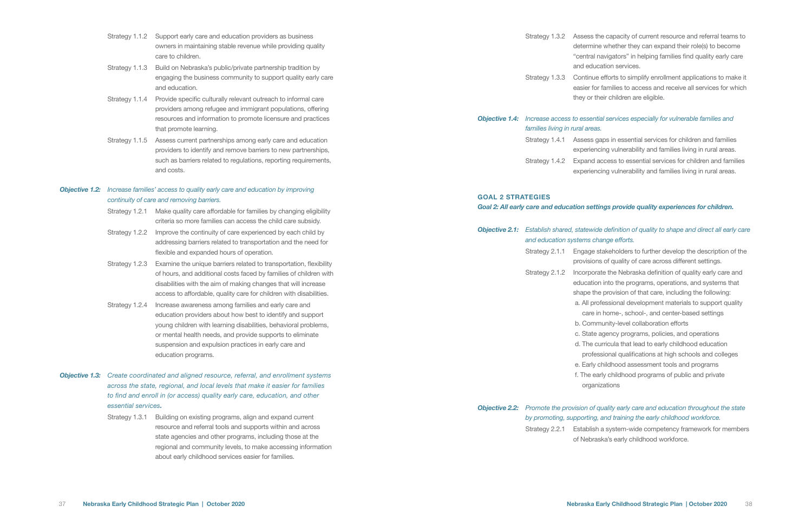- Strategy 1.1.2 Support early care and education providers as business owners in maintaining stable revenue while providing quality care to children.
- Strategy 1.1.3 Build on Nebraska's public/private partnership tradition by engaging the business community to support quality early care and education.
- Strategy 1.1.4 Provide specific culturally relevant outreach to informal care providers among refugee and immigrant populations, offering resources and information to promote licensure and practices that promote learning.
- Strategy 1.1.5 Assess current partnerships among early care and education providers to identify and remove barriers to new partnerships, such as barriers related to regulations, reporting requirements, and costs.

#### *Objective 1.2: Increase families' access to quality early care and education by improving continuity of care and removing barriers.*

- Strategy 1.2.1 Make quality care affordable for families by changing eligibility criteria so more families can access the child care subsidy.
- Strategy 1.2.2 Improve the continuity of care experienced by each child by addressing barriers related to transportation and the need for flexible and expanded hours of operation.
- Strategy 1.2.3 Examine the unique barriers related to transportation, flexibility of hours, and additional costs faced by families of children with disabilities with the aim of making changes that will increase access to affordable, quality care for children with disabilities.
- Strategy 1.2.4 Increase awareness among families and early care and education providers about how best to identify and support young children with learning disabilities, behavioral problems, or mental health needs, and provide supports to eliminate suspension and expulsion practices in early care and education programs.
- *Objective 1.3: Create coordinated and aligned resource, referral, and enrollment systems across the state, regional, and local levels that make it easier for families to find and enroll in (or access) quality early care, education, and other essential services.*
	- Strategy 1.3.1 Building on existing programs, align and expand current resource and referral tools and supports within and across state agencies and other programs, including those at the regional and community levels, to make accessing information about early childhood services easier for families.

Strategy 1.3.2 Assess the capacity of current resource and referral teams to determine whether they can expand their role(s) to become "central navigators" in helping families find quality early care and education services.

Strategy 1.3.3 Continue efforts to simplify enrollment applications to make it easier for families to access and receive all services for which they or their children are eligible.

### *Objective 1.4: Increase access to essential services especially for vulnerable families and families living in rural areas.* Strategy 1.4.1 Assess gaps in essential services for children and families experiencing vulnerability and families living in rural areas. Strategy 1.4.2 Expand access to essential services for children and families

experiencing vulnerability and families living in rural areas.

### GOAL 2 STRATEGIES

#### *Goal 2: All early care and education settings provide quality experiences for children.*

| <b>Objective 2.1:</b> Establish shared, statewi |                                                                             |
|-------------------------------------------------|-----------------------------------------------------------------------------|
|                                                 |                                                                             |
|                                                 | provisio                                                                    |
|                                                 | educatio                                                                    |
|                                                 | shape th                                                                    |
|                                                 | a. All pr                                                                   |
|                                                 | care                                                                        |
|                                                 | b. Com                                                                      |
|                                                 | c. State                                                                    |
|                                                 | d. The                                                                      |
|                                                 | profe                                                                       |
|                                                 | e. Early                                                                    |
|                                                 | f. The e                                                                    |
|                                                 | orga                                                                        |
|                                                 |                                                                             |
|                                                 | and education systems c<br>Strategy 2.1.1 Engage<br>Strategy 2.1.2 Incorpor |

#### *Objective 2.1: Establish shared, statewide definition of quality to shape and direct all early care and education systems change efforts.*

stakeholders to further develop the description of the ns of quality of care across different settings.

rate the Nebraska definition of quality early care and on into the programs, operations, and systems that he provision of that care, including the following: rofessional development materials to support quality in home-, school-, and center-based settings

**nmunity-level collaboration efforts** 

e agency programs, policies, and operations

curricula that lead to early childhood education

essional qualifications at high schools and colleges

childhood assessment tools and programs

early childhood programs of public and private nizations

### *Objective 2.2: Promote the provision of quality early care and education throughout the state by promoting, supporting, and training the early childhood workforce.* Strategy 2.2.1 Establish a system-wide competency framework for members

of Nebraska's early childhood workforce.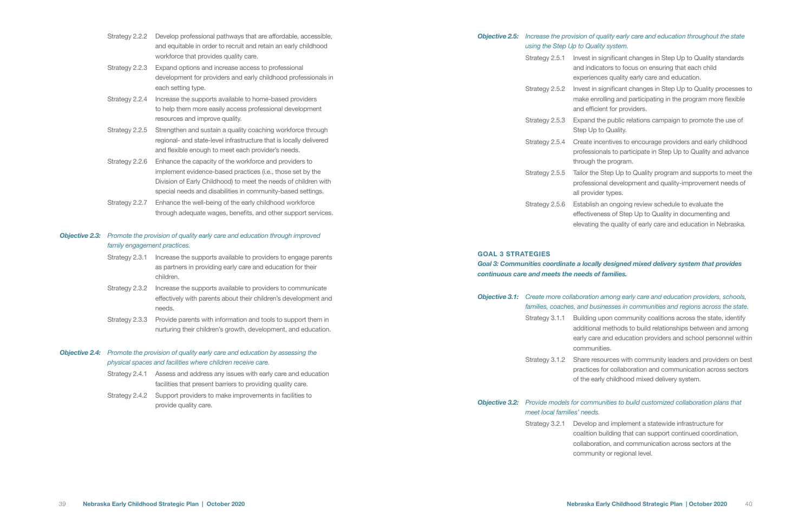| Strategy 2.2.2 | Develop professional pathways that are affordable, accessible,  |
|----------------|-----------------------------------------------------------------|
|                | and equitable in order to recruit and retain an early childhood |
|                | workforce that provides quality care.                           |
|                |                                                                 |

Strategy 2.2.3 Expand options and increase access to professional development for providers and early childhood professionals in each setting type.

- Strategy 2.2.4 Increase the supports available to home-based providers to help them more easily access professional development resources and improve quality.
- Strategy 2.2.5 Strengthen and sustain a quality coaching workforce through regional- and state-level infrastructure that is locally delivered and flexible enough to meet each provider's needs.
- Strategy 2.2.6 Enhance the capacity of the workforce and providers to implement evidence-based practices (i.e., those set by the Division of Early Childhood) to meet the needs of children with special needs and disabilities in community-based settings.
- Strategy 2.2.7 Enhance the well-being of the early childhood workforce through adequate wages, benefits, and other support services.

#### *Objective 2.3: Promote the provision of quality early care and education through improved family engagement practices.*

- Strategy 2.3.1 Increase the supports available to providers to engage parents as partners in providing early care and education for their children.
- Strategy 2.3.2 Increase the supports available to providers to communicate effectively with parents about their children's development and needs.
- Strategy 2.3.3 Provide parents with information and tools to support them in nurturing their children's growth, development, and education.

#### *Objective 2.4: Promote the provision of quality early care and education by assessing the physical spaces and facilities where children receive care.*

- Strategy 2.4.1 Assess and address any issues with early care and education facilities that present barriers to providing quality care.
- Strategy 2.4.2 Support providers to make improvements in facilities to provide quality care.

### *Objective 2.5: Increase the provision of quality early care and education throughout the state using the Step Up to Quality system.*

- Strategy 2.5.1 Invest in significant changes in Step Up to Quality standards and indicators to focus on ensuring that each child experiences quality early care and education.
- Strategy 2.5.2 Invest in significant changes in Step Up to Quality processes to make enrolling and participating in the program more flexible and efficient for providers.
- Strategy 2.5.3 Expand the public relations campaign to promote the use of Step Up to Quality.
- Strategy 2.5.4 Create incentives to encourage providers and early childhood professionals to participate in Step Up to Quality and advance through the program.
- Strategy 2.5.5 Tailor the Step Up to Quality program and supports to meet the professional development and quality-improvement needs of all provider types.
- Strategy 2.5.6 Establish an ongoing review schedule to evaluate the effectiveness of Step Up to Quality in documenting and elevating the quality of early care and education in Nebraska.

#### GOAL 3 STRATEGIES

### *Goal 3: Communities coordinate a locally designed mixed delivery system that provides continuous care and meets the needs of families.*

| <b>Objective 3.1:</b> Create more collaboration<br>families, coaches, and bus |            |
|-------------------------------------------------------------------------------|------------|
| Strategy 3.1.1 Building                                                       |            |
|                                                                               | additiona  |
|                                                                               | early care |
|                                                                               | commun     |
| Strategy 3.1.2 Share res                                                      |            |
|                                                                               | practices  |
|                                                                               | of the ea  |
|                                                                               |            |

### *Objective 3.1: Create more collaboration among early care and education providers, schools, families, coaches, and businesses in communities and regions across the state.*

upon community coalitions across the state, identify al methods to build relationships between and among e and education providers and school personnel within ities.

sources with community leaders and providers on best s for collaboration and communication across sectors arly childhood mixed delivery system.

#### *Objective 3.2: Provide models for communities to build customized collaboration plans that meet local families' needs.*

- -
	-

Strategy 3.2.1 Develop and implement a statewide infrastructure for coalition building that can support continued coordination, collaboration, and communication across sectors at the community or regional level.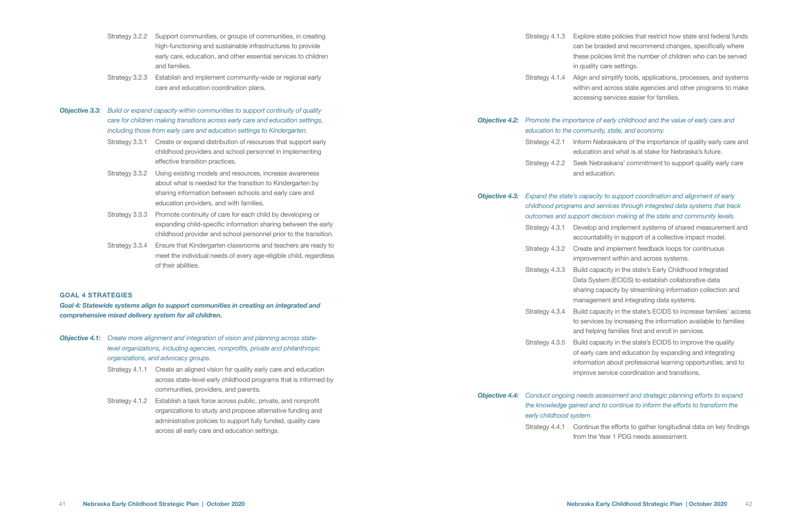- Strategy 3.2.2 Support communities, or groups of communities, in creating high-functioning and sustainable infrastructures to provide early care, education, and other essential services to children and families.
- Strategy 3.2.3 Establish and implement community-wide or regional early care and education coordination plans.
- *Objective 3.3: Build or expand capacity within communities to support continuity of quality care for children making transitions across early care and education settings, including those from early care and education settings to Kindergarten.*
	- Strategy 3.3.1 Create or expand distribution of resources that support early childhood providers and school personnel in implementing effective transition practices.
	- Strategy 3.3.2 Using existing models and resources, increase awareness about what is needed for the transition to Kindergarten by sharing information between schools and early care and education providers, and with families.
	- Strategy 3.3.3 Promote continuity of care for each child by developing or expanding child-specific information sharing between the early childhood provider and school personnel prior to the transition.
	- Strategy 3.3.4 Ensure that Kindergarten classrooms and teachers are ready to meet the individual needs of every age-eligible child, regardless of their abilities.

- **Objective 4.1:** Create more alignment and integration of vision and planning across state*level organizations, including agencies, nonprofits, private and philanthropic organizations, and advocacy groups.*
	- Strategy 4.1.1 Create an aligned vision for quality early care and education across state-level early childhood programs that is informed by communities, providers, and parents.
	- Strategy 4.1.2 Establish a task force across public, private, and nonprofit organizations to study and propose alternative funding and administrative policies to support fully funded, quality care across all early care and education settings.

|  | <b>Objective 4.2:</b> Promote the importance<br>education to the commur |          |
|--|-------------------------------------------------------------------------|----------|
|  |                                                                         |          |
|  | Strategy 4.2.1 Inform N                                                 |          |
|  |                                                                         | educatio |
|  | Strategy 4.2.2 Seek Ne                                                  |          |
|  |                                                                         | and edu  |
|  |                                                                         |          |
|  | Objective 1.2. Expand the state's capac                                 |          |

#### GOAL 4 STRATEGIES

*Goal 4: Statewide systems align to support communities in creating an integrated and comprehensive mixed delivery system for all children.*

#### assessment and strategic planning efforts to expand *the knowledge gained and to continue to inform the efforts to transform the*

the efforts to gather longitudinal data on key findings Year 1 PDG needs assessment.

Strategy 4.1.3 Explore state policies that restrict how state and federal funds can be braided and recommend changes, specifically where these policies limit the number of children who can be served in quality care settings.

Strategy 4.1.4 Align and simplify tools, applications, processes, and systems within and across state agencies and other programs to make accessing services easier for families.

#### *Objective 4.2: Promote the importance of early childhood and the value of early care and education to the community, state, and economy.*

lebraskans of the importance of quality early care and on and what is at stake for Nebraska's future.

ebraskans' commitment to support quality early care ucation.

#### *Objective 4.3: Expand the state's capacity to support coordination and alignment of early childhood programs and services through integrated data systems that track outcomes and support decision making at the state and community levels.*

- Strategy 4.3.1 Develop and implement systems of shared measurement and accountability in support of a collective impact model.
- Strategy 4.3.2 Create and implement feedback loops for continuous improvement within and across systems.
- Strategy 4.3.3 Build capacity in the state's Early Childhood Integrated Data System (ECIDS) to establish collaborative data sharing capacity by streamlining information collection and management and integrating data systems.
- Strategy 4.3.4 Build capacity in the state's ECIDS to increase families' access to services by increasing the information available to families and helping families find and enroll in services.
- Strategy 4.3.5 Build capacity in the state's ECIDS to improve the quality of early care and education by expanding and integrating information about professional learning opportunities, and to improve service coordination and transitions.

| <b>Dbjective 4.4:</b> Conduct ongoing needs a |          |
|-----------------------------------------------|----------|
| the knowledge gained and                      |          |
| early childhood system.                       |          |
| Strategy 4.4.1 Continue                       |          |
|                                               | from the |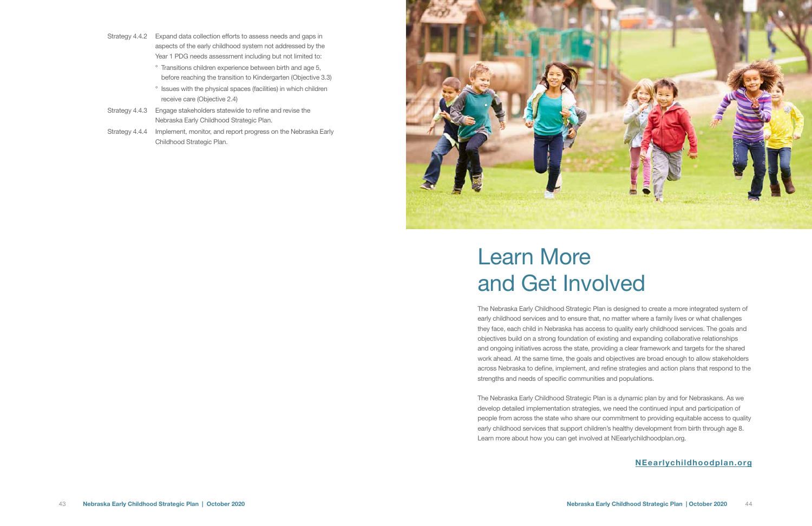The Nebraska Early Childhood Strategic Plan is designed to create a more integrated system of early childhood services and to ensure that, no matter where a family lives or what challenges they face, each child in Nebraska has access to quality early childhood services. The goals and objectives build on a strong foundation of existing and expanding collaborative relationships and ongoing initiatives across the state, providing a clear framework and targets for the shared work ahead. At the same time, the goals and objectives are broad enough to allow stakeholders across Nebraska to define, implement, and refine strategies and action plans that respond to the strengths and needs of specific communities and populations.

The Nebraska Early Childhood Strategic Plan is a dynamic plan by and for Nebraskans. As we develop detailed implementation strategies, we need the continued input and participation of people from across the state who share our commitment to providing equitable access to quality early childhood services that support children's healthy development from birth through age 8. Learn more about how you can get involved at NEearlychildhoodplan.org.

# Learn More and Get Involved

### NEearlychildhoodplan.org

- Strategy 4.4.2 Expand data collection efforts to assess needs and gaps in aspects of the early childhood system not addressed by the Year 1 PDG needs assessment including but not limited to:
	- ° Transitions children experience between birth and age 5, before reaching the transition to Kindergarten (Objective 3.3)
	- ° Issues with the physical spaces (facilities) in which children receive care (Objective 2.4)
- Strategy 4.4.3 Engage stakeholders statewide to refine and revise the Nebraska Early Childhood Strategic Plan.
- Strategy 4.4.4 Implement, monitor, and report progress on the Nebraska Early Childhood Strategic Plan.